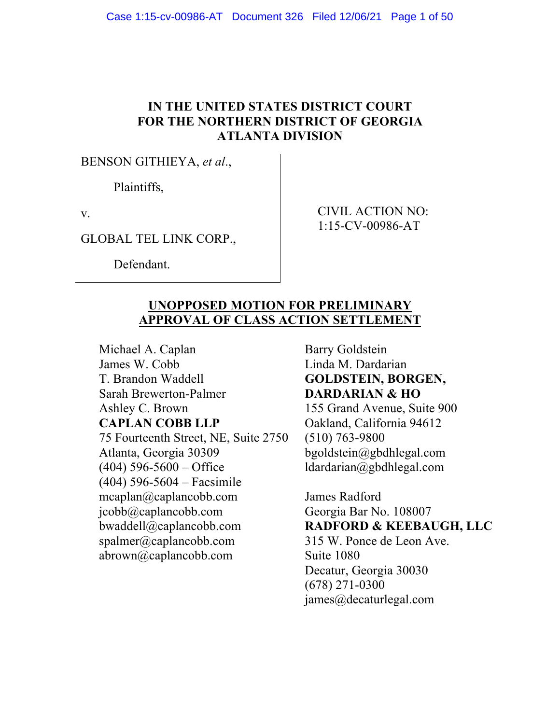### **IN THE UNITED STATES DISTRICT COURT FOR THE NORTHERN DISTRICT OF GEORGIA ATLANTA DIVISION**

BENSON GITHIEYA, *et al*.,

Plaintiffs,

v.

GLOBAL TEL LINK CORP.,

Defendant.

CIVIL ACTION NO: 1:15-CV-00986-AT

# **UNOPPOSED MOTION FOR PRELIMINARY APPROVAL OF CLASS ACTION SETTLEMENT**

Michael A. Caplan James W. Cobb T. Brandon Waddell Sarah Brewerton-Palmer Ashley C. Brown **CAPLAN COBB LLP** 75 Fourteenth Street, NE, Suite 2750 Atlanta, Georgia 30309  $(404)$  596-5600 – Office (404) 596-5604 – Facsimile mcaplan@caplancobb.com jcobb@caplancobb.com bwaddell@caplancobb.com spalmer@caplancobb.com abrown@caplancobb.com

Barry Goldstein Linda M. Dardarian **GOLDSTEIN, BORGEN, DARDARIAN & HO**

155 Grand Avenue, Suite 900 Oakland, California 94612 (510) 763-9800 bgoldstein@gbdhlegal.com ldardarian@gbdhlegal.com

James Radford Georgia Bar No. 108007 **RADFORD & KEEBAUGH, LLC** 315 W. Ponce de Leon Ave. Suite 1080 Decatur, Georgia 30030 (678) 271-0300 james@decaturlegal.com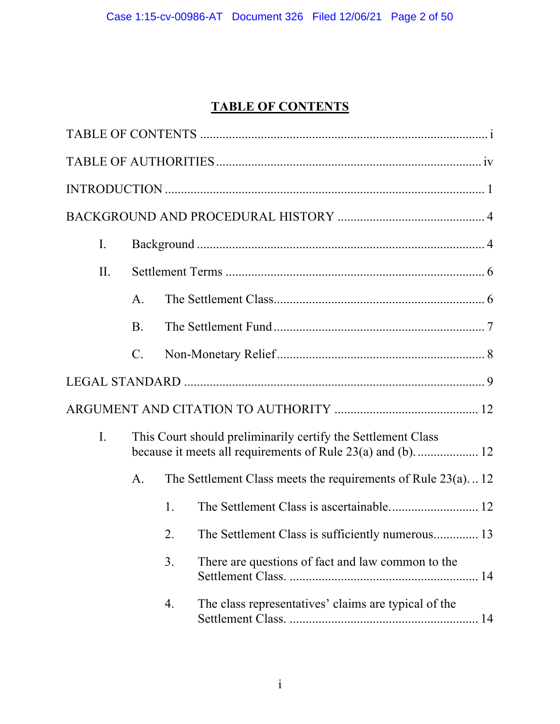# **TABLE OF CONTENTS**

| $\mathbf{I}$ . |                                                              |    |                                                                |
|----------------|--------------------------------------------------------------|----|----------------------------------------------------------------|
| II.            |                                                              |    |                                                                |
|                | A.                                                           |    |                                                                |
|                | <b>B.</b>                                                    |    |                                                                |
|                | $\mathcal{C}$ .                                              |    |                                                                |
|                |                                                              |    |                                                                |
|                |                                                              |    |                                                                |
| I.             | This Court should preliminarily certify the Settlement Class |    |                                                                |
|                | A.                                                           |    | The Settlement Class meets the requirements of Rule $23(a)$ 12 |
|                |                                                              | 1. |                                                                |
|                |                                                              | 2. | The Settlement Class is sufficiently numerous 13               |
|                |                                                              | 3. | There are questions of fact and law common to the              |
|                |                                                              | 4. | The class representatives' claims are typical of the           |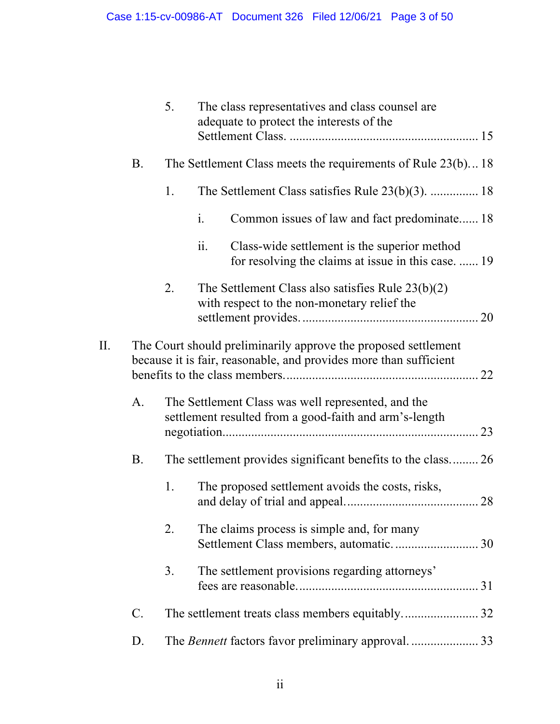|     |                 | 5.                                                                                                                                  | The class representatives and class counsel are<br>adequate to protect the interests of the                              |  |
|-----|-----------------|-------------------------------------------------------------------------------------------------------------------------------------|--------------------------------------------------------------------------------------------------------------------------|--|
|     | <b>B.</b>       |                                                                                                                                     | The Settlement Class meets the requirements of Rule $23(b)$ 18                                                           |  |
|     |                 | 1.                                                                                                                                  | The Settlement Class satisfies Rule $23(b)(3)$ .  18                                                                     |  |
|     |                 |                                                                                                                                     | $\mathbf{i}$ .<br>Common issues of law and fact predominate 18                                                           |  |
|     |                 |                                                                                                                                     | Class-wide settlement is the superior method<br>$\overline{11}$ .<br>for resolving the claims at issue in this case.  19 |  |
|     |                 | 2.                                                                                                                                  | The Settlement Class also satisfies Rule $23(b)(2)$<br>with respect to the non-monetary relief the                       |  |
| II. |                 | The Court should preliminarily approve the proposed settlement<br>because it is fair, reasonable, and provides more than sufficient |                                                                                                                          |  |
|     | A.              |                                                                                                                                     | The Settlement Class was well represented, and the<br>settlement resulted from a good-faith and arm's-length             |  |
|     | <b>B.</b>       |                                                                                                                                     | The settlement provides significant benefits to the class 26                                                             |  |
|     |                 | 1.                                                                                                                                  | The proposed settlement avoids the costs, risks,                                                                         |  |
|     |                 | 2.                                                                                                                                  | The claims process is simple and, for many                                                                               |  |
|     |                 | 3.                                                                                                                                  | The settlement provisions regarding attorneys'                                                                           |  |
|     | $\mathcal{C}$ . |                                                                                                                                     |                                                                                                                          |  |
|     | D.              |                                                                                                                                     |                                                                                                                          |  |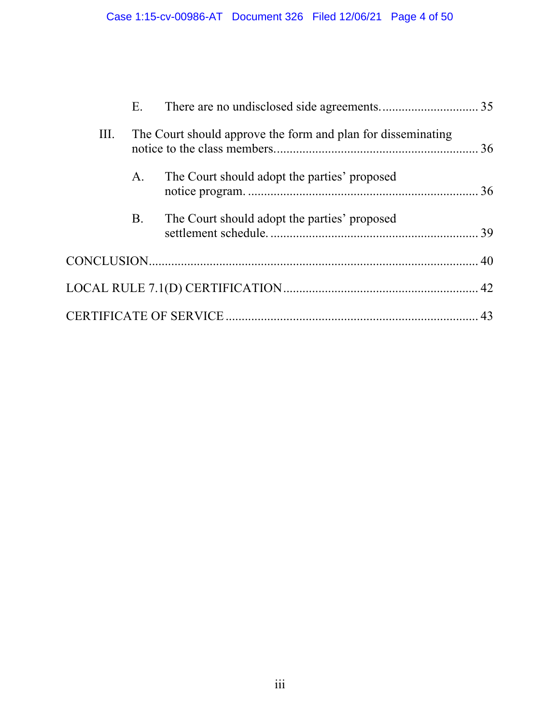|      | E.        |                                                              |  |
|------|-----------|--------------------------------------------------------------|--|
| III. |           | The Court should approve the form and plan for disseminating |  |
|      | A.        | The Court should adopt the parties' proposed                 |  |
|      | <b>B.</b> | The Court should adopt the parties' proposed                 |  |
|      |           |                                                              |  |
|      |           |                                                              |  |
|      |           |                                                              |  |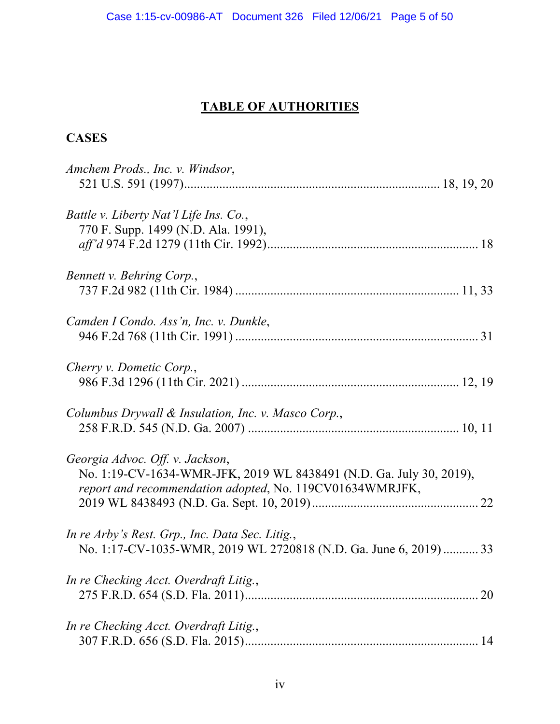# **TABLE OF AUTHORITIES**

# **CASES**

| Amchem Prods., Inc. v. Windsor,                                                                                                                                    |
|--------------------------------------------------------------------------------------------------------------------------------------------------------------------|
| Battle v. Liberty Nat'l Life Ins. Co.,<br>770 F. Supp. 1499 (N.D. Ala. 1991),                                                                                      |
| Bennett v. Behring Corp.,                                                                                                                                          |
| Camden I Condo. Ass'n, Inc. v. Dunkle,                                                                                                                             |
| Cherry v. Dometic Corp.,                                                                                                                                           |
| Columbus Drywall & Insulation, Inc. v. Masco Corp.,                                                                                                                |
| Georgia Advoc. Off. v. Jackson,<br>No. 1:19-CV-1634-WMR-JFK, 2019 WL 8438491 (N.D. Ga. July 30, 2019),<br>report and recommendation adopted, No. 119CV01634WMRJFK, |
| In re Arby's Rest. Grp., Inc. Data Sec. Litig.,<br>No. 1:17-CV-1035-WMR, 2019 WL 2720818 (N.D. Ga. June 6, 2019)  33                                               |
| In re Checking Acct. Overdraft Litig.,                                                                                                                             |
| In re Checking Acct. Overdraft Litig.,                                                                                                                             |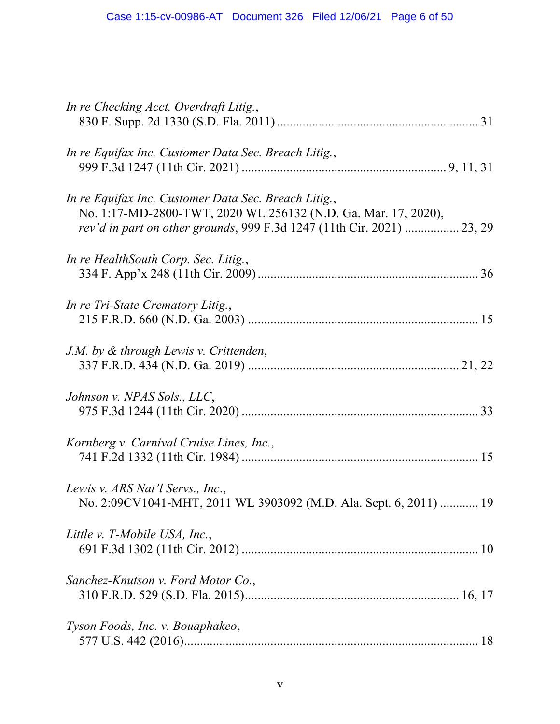| In re Checking Acct. Overdraft Litig.,                                                                                                                                                           |
|--------------------------------------------------------------------------------------------------------------------------------------------------------------------------------------------------|
| In re Equifax Inc. Customer Data Sec. Breach Litig.,                                                                                                                                             |
| In re Equifax Inc. Customer Data Sec. Breach Litig.,<br>No. 1:17-MD-2800-TWT, 2020 WL 256132 (N.D. Ga. Mar. 17, 2020),<br>rev'd in part on other grounds, 999 F.3d 1247 (11th Cir. 2021)  23, 29 |
| In re HealthSouth Corp. Sec. Litig.,                                                                                                                                                             |
| In re Tri-State Crematory Litig.,                                                                                                                                                                |
| J.M. by & through Lewis v. Crittenden,                                                                                                                                                           |
| Johnson v. NPAS Sols., LLC,                                                                                                                                                                      |
| Kornberg v. Carnival Cruise Lines, Inc.,                                                                                                                                                         |
| Lewis v. ARS Nat'l Servs., Inc.,<br>No. 2:09CV1041-MHT, 2011 WL 3903092 (M.D. Ala. Sept. 6, 2011)  19                                                                                            |
| Little v. T-Mobile USA, Inc.,                                                                                                                                                                    |
| Sanchez-Knutson v. Ford Motor Co.,                                                                                                                                                               |
| Tyson Foods, Inc. v. Bouaphakeo,                                                                                                                                                                 |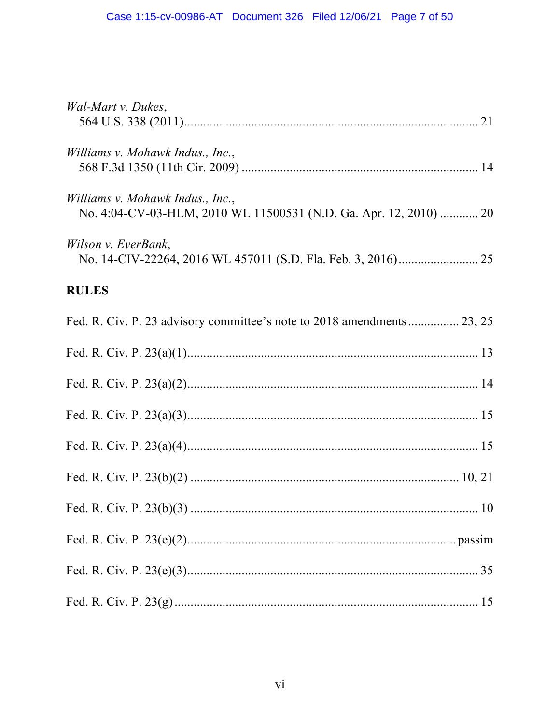| Wal-Mart v. Dukes,                                                                                    |
|-------------------------------------------------------------------------------------------------------|
| Williams v. Mohawk Indus., Inc.,                                                                      |
| Williams v. Mohawk Indus., Inc.,<br>No. 4:04-CV-03-HLM, 2010 WL 11500531 (N.D. Ga. Apr. 12, 2010)  20 |
| Wilson v. EverBank,                                                                                   |
| <b>RULES</b>                                                                                          |
| Fed. R. Civ. P. 23 advisory committee's note to 2018 amendments 23, 25                                |
|                                                                                                       |
|                                                                                                       |
|                                                                                                       |
|                                                                                                       |
|                                                                                                       |
|                                                                                                       |
|                                                                                                       |
|                                                                                                       |
|                                                                                                       |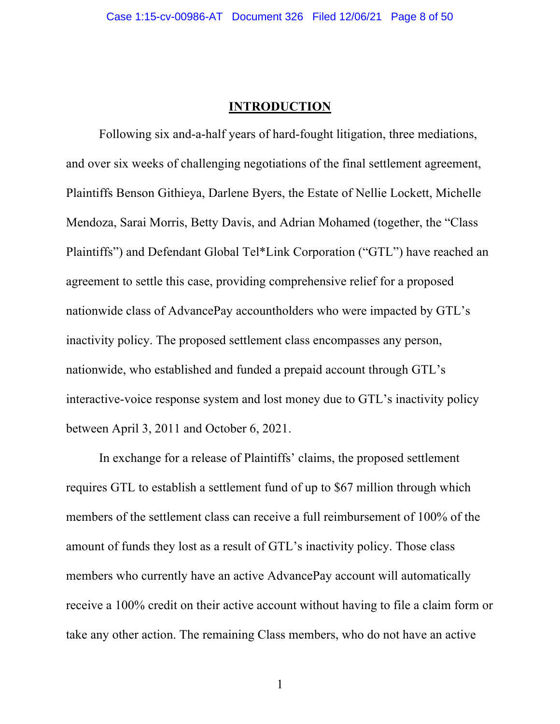#### **INTRODUCTION**

Following six and-a-half years of hard-fought litigation, three mediations, and over six weeks of challenging negotiations of the final settlement agreement, Plaintiffs Benson Githieya, Darlene Byers, the Estate of Nellie Lockett, Michelle Mendoza, Sarai Morris, Betty Davis, and Adrian Mohamed (together, the "Class Plaintiffs") and Defendant Global Tel\*Link Corporation ("GTL") have reached an agreement to settle this case, providing comprehensive relief for a proposed nationwide class of AdvancePay accountholders who were impacted by GTL's inactivity policy. The proposed settlement class encompasses any person, nationwide, who established and funded a prepaid account through GTL's interactive-voice response system and lost money due to GTL's inactivity policy between April 3, 2011 and October 6, 2021.

In exchange for a release of Plaintiffs' claims, the proposed settlement requires GTL to establish a settlement fund of up to \$67 million through which members of the settlement class can receive a full reimbursement of 100% of the amount of funds they lost as a result of GTL's inactivity policy. Those class members who currently have an active AdvancePay account will automatically receive a 100% credit on their active account without having to file a claim form or take any other action. The remaining Class members, who do not have an active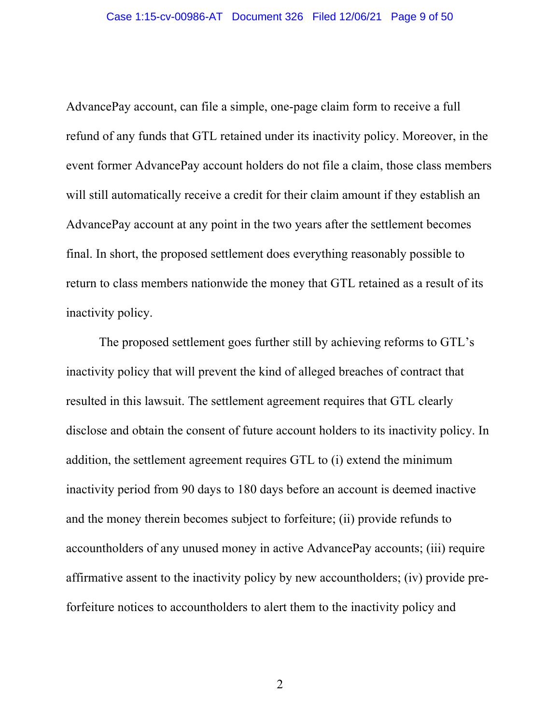AdvancePay account, can file a simple, one-page claim form to receive a full refund of any funds that GTL retained under its inactivity policy. Moreover, in the event former AdvancePay account holders do not file a claim, those class members will still automatically receive a credit for their claim amount if they establish an AdvancePay account at any point in the two years after the settlement becomes final. In short, the proposed settlement does everything reasonably possible to return to class members nationwide the money that GTL retained as a result of its inactivity policy.

The proposed settlement goes further still by achieving reforms to GTL's inactivity policy that will prevent the kind of alleged breaches of contract that resulted in this lawsuit. The settlement agreement requires that GTL clearly disclose and obtain the consent of future account holders to its inactivity policy. In addition, the settlement agreement requires GTL to (i) extend the minimum inactivity period from 90 days to 180 days before an account is deemed inactive and the money therein becomes subject to forfeiture; (ii) provide refunds to accountholders of any unused money in active AdvancePay accounts; (iii) require affirmative assent to the inactivity policy by new accountholders; (iv) provide preforfeiture notices to accountholders to alert them to the inactivity policy and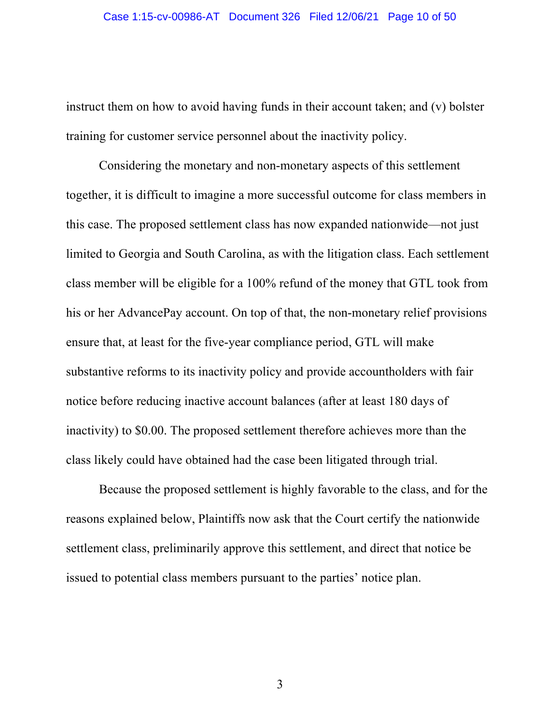instruct them on how to avoid having funds in their account taken; and (v) bolster training for customer service personnel about the inactivity policy.

Considering the monetary and non-monetary aspects of this settlement together, it is difficult to imagine a more successful outcome for class members in this case. The proposed settlement class has now expanded nationwide—not just limited to Georgia and South Carolina, as with the litigation class. Each settlement class member will be eligible for a 100% refund of the money that GTL took from his or her AdvancePay account. On top of that, the non-monetary relief provisions ensure that, at least for the five-year compliance period, GTL will make substantive reforms to its inactivity policy and provide accountholders with fair notice before reducing inactive account balances (after at least 180 days of inactivity) to \$0.00. The proposed settlement therefore achieves more than the class likely could have obtained had the case been litigated through trial.

Because the proposed settlement is highly favorable to the class, and for the reasons explained below, Plaintiffs now ask that the Court certify the nationwide settlement class, preliminarily approve this settlement, and direct that notice be issued to potential class members pursuant to the parties' notice plan.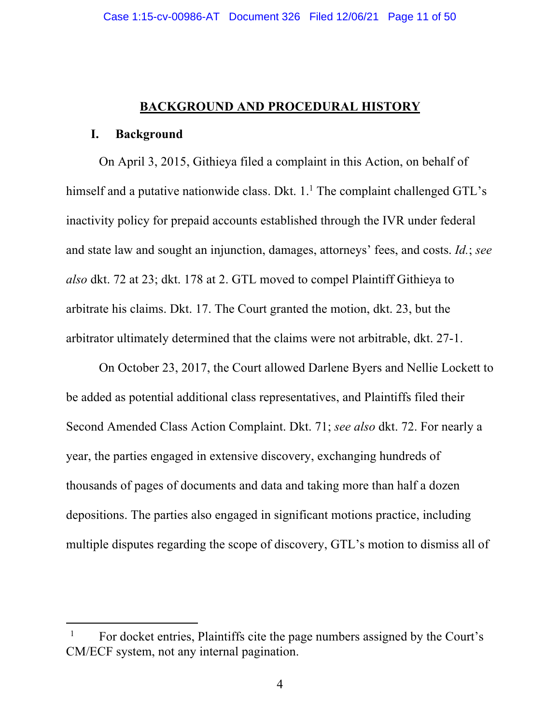#### **BACKGROUND AND PROCEDURAL HISTORY**

#### **I. Background**

On April 3, 2015, Githieya filed a complaint in this Action, on behalf of himself and a putative nationwide class. Dkt.  $1<sup>1</sup>$  The complaint challenged GTL's inactivity policy for prepaid accounts established through the IVR under federal and state law and sought an injunction, damages, attorneys' fees, and costs. *Id.*; *see also* dkt. 72 at 23; dkt. 178 at 2. GTL moved to compel Plaintiff Githieya to arbitrate his claims. Dkt. 17. The Court granted the motion, dkt. 23, but the arbitrator ultimately determined that the claims were not arbitrable, dkt. 27-1.

On October 23, 2017, the Court allowed Darlene Byers and Nellie Lockett to be added as potential additional class representatives, and Plaintiffs filed their Second Amended Class Action Complaint. Dkt. 71; *see also* dkt. 72. For nearly a year, the parties engaged in extensive discovery, exchanging hundreds of thousands of pages of documents and data and taking more than half a dozen depositions. The parties also engaged in significant motions practice, including multiple disputes regarding the scope of discovery, GTL's motion to dismiss all of

<sup>&</sup>lt;sup>1</sup> For docket entries, Plaintiffs cite the page numbers assigned by the Court's CM/ECF system, not any internal pagination.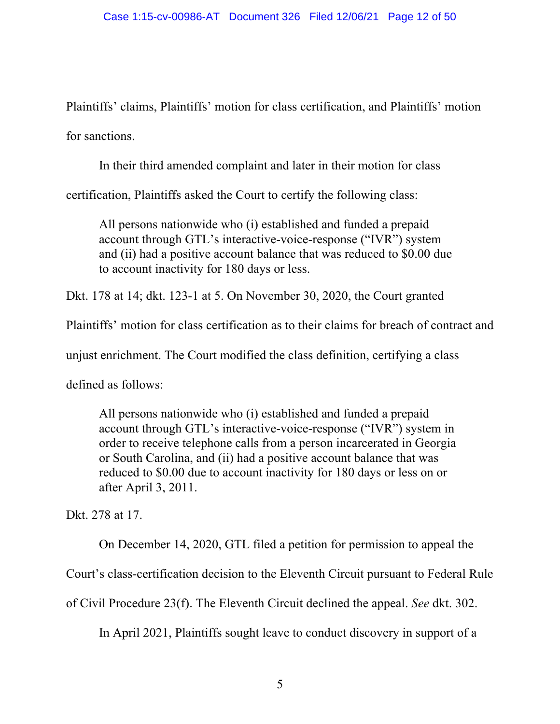Plaintiffs' claims, Plaintiffs' motion for class certification, and Plaintiffs' motion for sanctions.

In their third amended complaint and later in their motion for class

certification, Plaintiffs asked the Court to certify the following class:

All persons nationwide who (i) established and funded a prepaid account through GTL's interactive-voice-response ("IVR") system and (ii) had a positive account balance that was reduced to \$0.00 due to account inactivity for 180 days or less.

Dkt. 178 at 14; dkt. 123-1 at 5. On November 30, 2020, the Court granted

Plaintiffs' motion for class certification as to their claims for breach of contract and

unjust enrichment. The Court modified the class definition, certifying a class

defined as follows:

All persons nationwide who (i) established and funded a prepaid account through GTL's interactive-voice-response ("IVR") system in order to receive telephone calls from a person incarcerated in Georgia or South Carolina, and (ii) had a positive account balance that was reduced to \$0.00 due to account inactivity for 180 days or less on or after April 3, 2011.

Dkt. 278 at 17.

On December 14, 2020, GTL filed a petition for permission to appeal the

Court's class-certification decision to the Eleventh Circuit pursuant to Federal Rule

of Civil Procedure 23(f). The Eleventh Circuit declined the appeal. *See* dkt. 302.

In April 2021, Plaintiffs sought leave to conduct discovery in support of a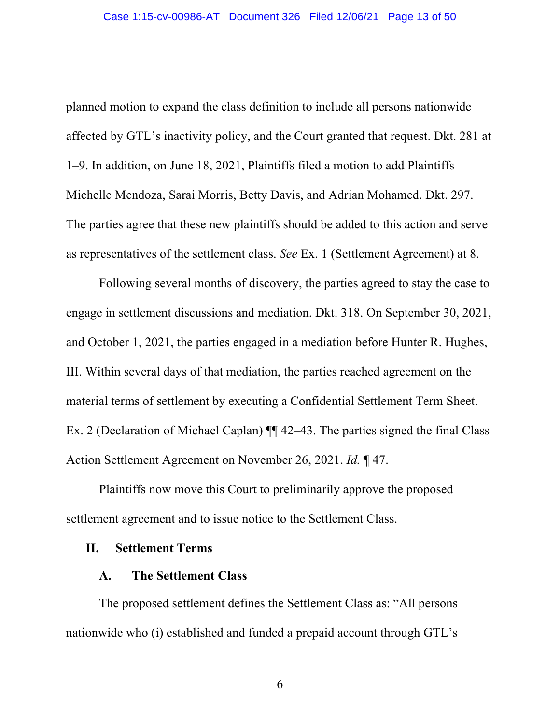planned motion to expand the class definition to include all persons nationwide affected by GTL's inactivity policy, and the Court granted that request. Dkt. 281 at 1–9. In addition, on June 18, 2021, Plaintiffs filed a motion to add Plaintiffs Michelle Mendoza, Sarai Morris, Betty Davis, and Adrian Mohamed. Dkt. 297. The parties agree that these new plaintiffs should be added to this action and serve as representatives of the settlement class. *See* Ex. 1 (Settlement Agreement) at 8.

Following several months of discovery, the parties agreed to stay the case to engage in settlement discussions and mediation. Dkt. 318. On September 30, 2021, and October 1, 2021, the parties engaged in a mediation before Hunter R. Hughes, III. Within several days of that mediation, the parties reached agreement on the material terms of settlement by executing a Confidential Settlement Term Sheet. Ex. 2 (Declaration of Michael Caplan) ¶¶ 42–43. The parties signed the final Class Action Settlement Agreement on November 26, 2021. *Id.* ¶ 47.

Plaintiffs now move this Court to preliminarily approve the proposed settlement agreement and to issue notice to the Settlement Class.

#### **II. Settlement Terms**

#### **A. The Settlement Class**

The proposed settlement defines the Settlement Class as: "All persons nationwide who (i) established and funded a prepaid account through GTL's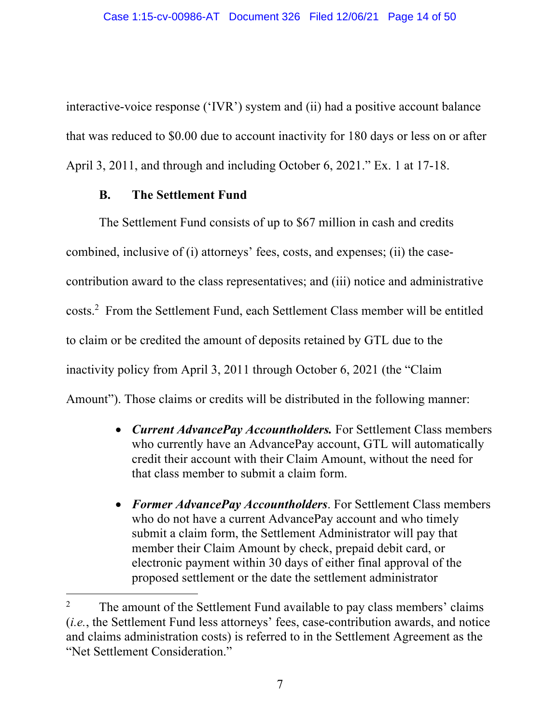interactive-voice response ('IVR') system and (ii) had a positive account balance that was reduced to \$0.00 due to account inactivity for 180 days or less on or after April 3, 2011, and through and including October 6, 2021." Ex. 1 at 17-18.

### **B. The Settlement Fund**

The Settlement Fund consists of up to \$67 million in cash and credits combined, inclusive of (i) attorneys' fees, costs, and expenses; (ii) the casecontribution award to the class representatives; and (iii) notice and administrative costs. 2 From the Settlement Fund, each Settlement Class member will be entitled to claim or be credited the amount of deposits retained by GTL due to the inactivity policy from April 3, 2011 through October 6, 2021 (the "Claim Amount"). Those claims or credits will be distributed in the following manner:

- *Current AdvancePay Accountholders.* For Settlement Class members who currently have an AdvancePay account, GTL will automatically credit their account with their Claim Amount, without the need for that class member to submit a claim form.
- *Former AdvancePay Accountholders*. For Settlement Class members who do not have a current AdvancePay account and who timely submit a claim form, the Settlement Administrator will pay that member their Claim Amount by check, prepaid debit card, or electronic payment within 30 days of either final approval of the proposed settlement or the date the settlement administrator

<sup>&</sup>lt;sup>2</sup> The amount of the Settlement Fund available to pay class members' claims (*i.e.*, the Settlement Fund less attorneys' fees, case-contribution awards, and notice and claims administration costs) is referred to in the Settlement Agreement as the "Net Settlement Consideration."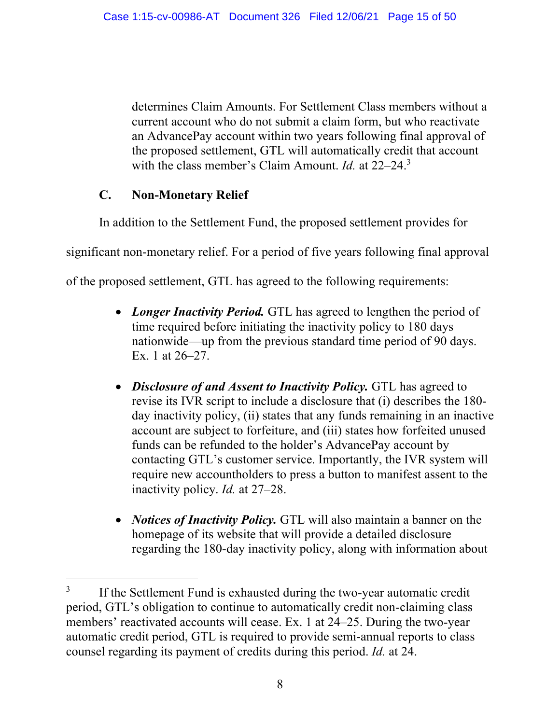determines Claim Amounts. For Settlement Class members without a current account who do not submit a claim form, but who reactivate an AdvancePay account within two years following final approval of the proposed settlement, GTL will automatically credit that account with the class member's Claim Amount. *Id.* at 22–24.3

# **C. Non-Monetary Relief**

In addition to the Settlement Fund, the proposed settlement provides for

significant non-monetary relief. For a period of five years following final approval

of the proposed settlement, GTL has agreed to the following requirements:

- *Longer Inactivity Period.* GTL has agreed to lengthen the period of time required before initiating the inactivity policy to 180 days nationwide—up from the previous standard time period of 90 days. Ex. 1 at 26–27.
- *Disclosure of and Assent to Inactivity Policy*. GTL has agreed to revise its IVR script to include a disclosure that (i) describes the 180 day inactivity policy, (ii) states that any funds remaining in an inactive account are subject to forfeiture, and (iii) states how forfeited unused funds can be refunded to the holder's AdvancePay account by contacting GTL's customer service. Importantly, the IVR system will require new accountholders to press a button to manifest assent to the inactivity policy. *Id.* at 27–28.
- *Notices of Inactivity Policy.* GTL will also maintain a banner on the homepage of its website that will provide a detailed disclosure regarding the 180-day inactivity policy, along with information about

<sup>&</sup>lt;sup>3</sup> If the Settlement Fund is exhausted during the two-year automatic credit period, GTL's obligation to continue to automatically credit non-claiming class members' reactivated accounts will cease. Ex. 1 at 24–25. During the two-year automatic credit period, GTL is required to provide semi-annual reports to class counsel regarding its payment of credits during this period. *Id.* at 24.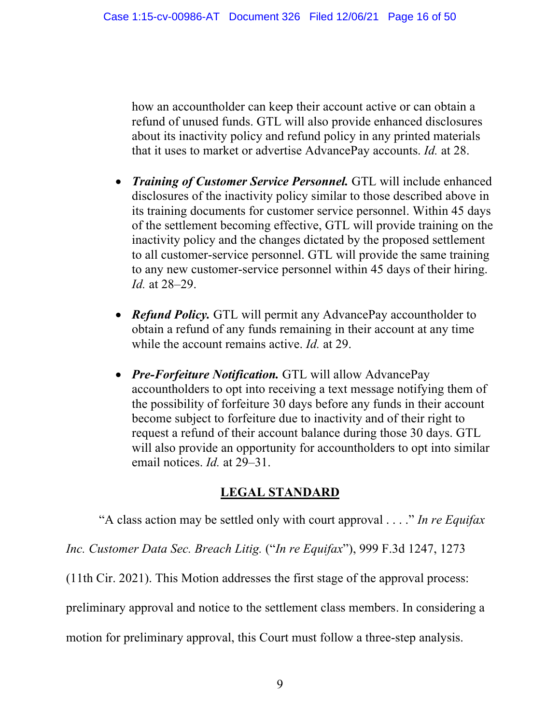how an accountholder can keep their account active or can obtain a refund of unused funds. GTL will also provide enhanced disclosures about its inactivity policy and refund policy in any printed materials that it uses to market or advertise AdvancePay accounts. *Id.* at 28.

- *Training of Customer Service Personnel.* GTL will include enhanced disclosures of the inactivity policy similar to those described above in its training documents for customer service personnel. Within 45 days of the settlement becoming effective, GTL will provide training on the inactivity policy and the changes dictated by the proposed settlement to all customer-service personnel. GTL will provide the same training to any new customer-service personnel within 45 days of their hiring. *Id.* at 28–29.
- *Refund Policy*. GTL will permit any AdvancePay accountholder to obtain a refund of any funds remaining in their account at any time while the account remains active. *Id.* at 29.
- *Pre-Forfeiture Notification.* GTL will allow AdvancePay accountholders to opt into receiving a text message notifying them of the possibility of forfeiture 30 days before any funds in their account become subject to forfeiture due to inactivity and of their right to request a refund of their account balance during those 30 days. GTL will also provide an opportunity for accountholders to opt into similar email notices. *Id.* at 29–31.

### **LEGAL STANDARD**

"A class action may be settled only with court approval . . . ." *In re Equifax*

*Inc. Customer Data Sec. Breach Litig.* ("*In re Equifax*"), 999 F.3d 1247, 1273

(11th Cir. 2021). This Motion addresses the first stage of the approval process:

preliminary approval and notice to the settlement class members. In considering a

motion for preliminary approval, this Court must follow a three-step analysis.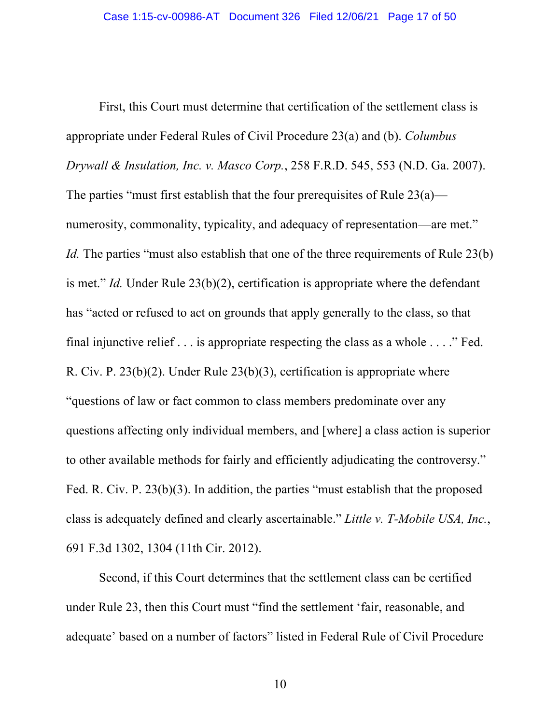First, this Court must determine that certification of the settlement class is appropriate under Federal Rules of Civil Procedure 23(a) and (b). *Columbus Drywall & Insulation, Inc. v. Masco Corp.*, 258 F.R.D. 545, 553 (N.D. Ga. 2007). The parties "must first establish that the four prerequisites of Rule  $23(a)$  numerosity, commonality, typicality, and adequacy of representation—are met." *Id.* The parties "must also establish that one of the three requirements of Rule 23(b) is met." *Id.* Under Rule 23(b)(2), certification is appropriate where the defendant has "acted or refused to act on grounds that apply generally to the class, so that final injunctive relief . . . is appropriate respecting the class as a whole . . . ." Fed. R. Civ. P. 23(b)(2). Under Rule 23(b)(3), certification is appropriate where "questions of law or fact common to class members predominate over any questions affecting only individual members, and [where] a class action is superior to other available methods for fairly and efficiently adjudicating the controversy." Fed. R. Civ. P. 23(b)(3). In addition, the parties "must establish that the proposed class is adequately defined and clearly ascertainable." *Little v. T-Mobile USA, Inc.*, 691 F.3d 1302, 1304 (11th Cir. 2012).

Second, if this Court determines that the settlement class can be certified under Rule 23, then this Court must "find the settlement 'fair, reasonable, and adequate' based on a number of factors" listed in Federal Rule of Civil Procedure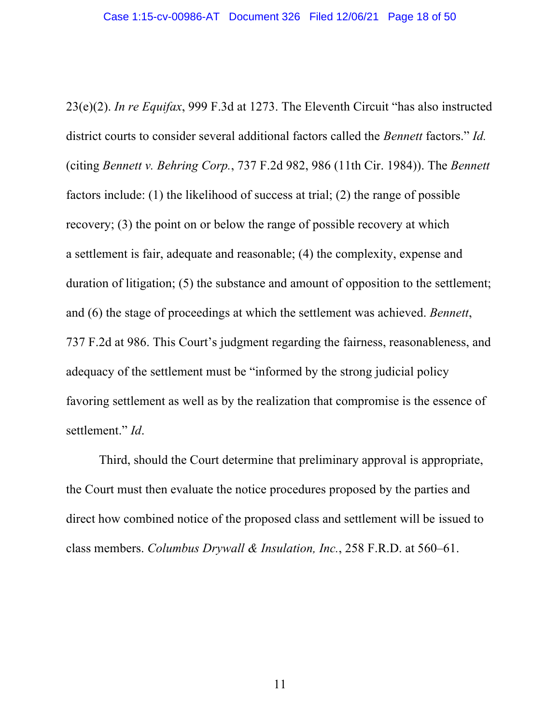23(e)(2). *In re Equifax*, 999 F.3d at 1273. The Eleventh Circuit "has also instructed district courts to consider several additional factors called the *Bennett* factors." *Id.* (citing *Bennett v. Behring Corp.*, 737 F.2d 982, 986 (11th Cir. 1984)). The *Bennett* factors include: (1) the likelihood of success at trial; (2) the range of possible recovery; (3) the point on or below the range of possible recovery at which a settlement is fair, adequate and reasonable; (4) the complexity, expense and duration of litigation; (5) the substance and amount of opposition to the settlement; and (6) the stage of proceedings at which the settlement was achieved. *Bennett*, 737 F.2d at 986. This Court's judgment regarding the fairness, reasonableness, and adequacy of the settlement must be "informed by the strong judicial policy favoring settlement as well as by the realization that compromise is the essence of settlement." *Id*.

Third, should the Court determine that preliminary approval is appropriate, the Court must then evaluate the notice procedures proposed by the parties and direct how combined notice of the proposed class and settlement will be issued to class members. *Columbus Drywall & Insulation, Inc.*, 258 F.R.D. at 560–61.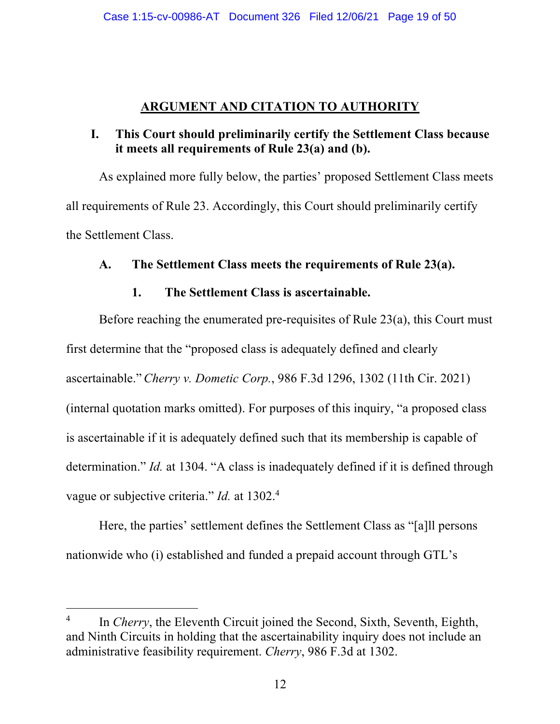### **ARGUMENT AND CITATION TO AUTHORITY**

### **I. This Court should preliminarily certify the Settlement Class because it meets all requirements of Rule 23(a) and (b).**

As explained more fully below, the parties' proposed Settlement Class meets all requirements of Rule 23. Accordingly, this Court should preliminarily certify the Settlement Class.

### **A. The Settlement Class meets the requirements of Rule 23(a).**

### **1. The Settlement Class is ascertainable.**

Before reaching the enumerated pre-requisites of Rule 23(a), this Court must first determine that the "proposed class is adequately defined and clearly ascertainable."*Cherry v. Dometic Corp.*, 986 F.3d 1296, 1302 (11th Cir. 2021) (internal quotation marks omitted). For purposes of this inquiry, "a proposed class is ascertainable if it is adequately defined such that its membership is capable of determination." *Id.* at 1304. "A class is inadequately defined if it is defined through vague or subjective criteria." *Id.* at 1302.<sup>4</sup>

Here, the parties' settlement defines the Settlement Class as "[a]ll persons nationwide who (i) established and funded a prepaid account through GTL's

<sup>&</sup>lt;sup>4</sup> In *Cherry*, the Eleventh Circuit joined the Second, Sixth, Seventh, Eighth, and Ninth Circuits in holding that the ascertainability inquiry does not include an administrative feasibility requirement. *Cherry*, 986 F.3d at 1302.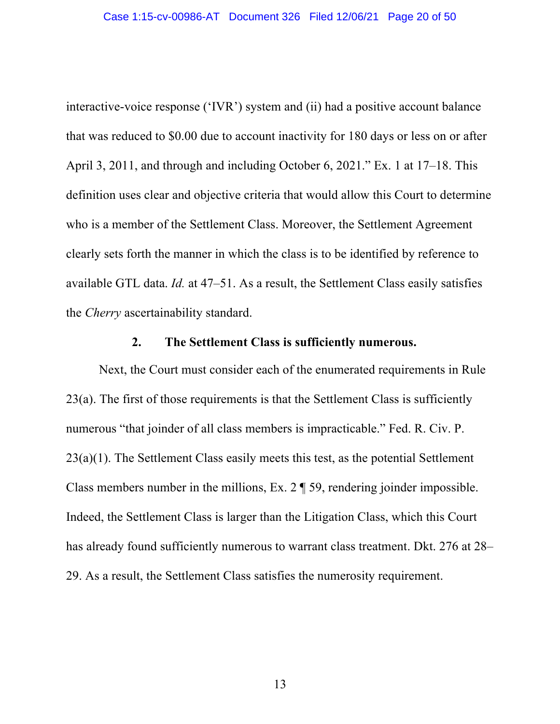interactive-voice response ('IVR') system and (ii) had a positive account balance that was reduced to \$0.00 due to account inactivity for 180 days or less on or after April 3, 2011, and through and including October 6, 2021." Ex. 1 at 17–18. This definition uses clear and objective criteria that would allow this Court to determine who is a member of the Settlement Class. Moreover, the Settlement Agreement clearly sets forth the manner in which the class is to be identified by reference to available GTL data. *Id.* at 47–51. As a result, the Settlement Class easily satisfies the *Cherry* ascertainability standard.

#### **2. The Settlement Class is sufficiently numerous.**

Next, the Court must consider each of the enumerated requirements in Rule 23(a). The first of those requirements is that the Settlement Class is sufficiently numerous "that joinder of all class members is impracticable." Fed. R. Civ. P. 23(a)(1). The Settlement Class easily meets this test, as the potential Settlement Class members number in the millions, Ex. 2 ¶ 59, rendering joinder impossible. Indeed, the Settlement Class is larger than the Litigation Class, which this Court has already found sufficiently numerous to warrant class treatment. Dkt. 276 at 28– 29. As a result, the Settlement Class satisfies the numerosity requirement.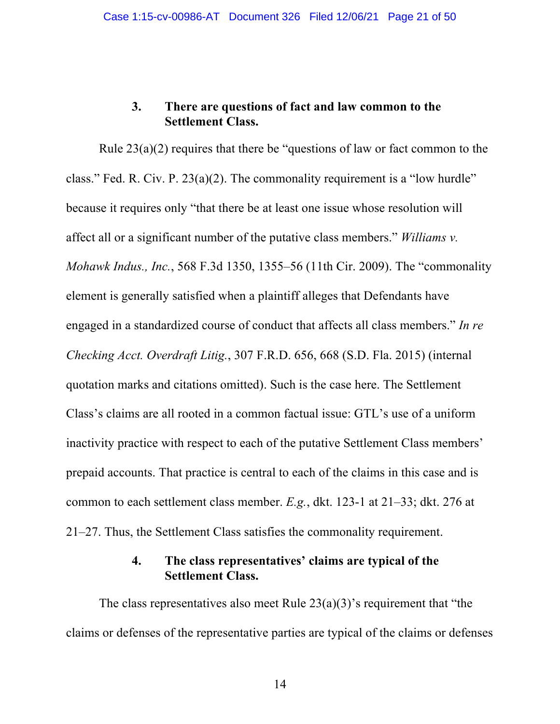### **3. There are questions of fact and law common to the Settlement Class.**

Rule  $23(a)(2)$  requires that there be "questions of law or fact common to the class." Fed. R. Civ. P. 23(a)(2). The commonality requirement is a "low hurdle" because it requires only "that there be at least one issue whose resolution will affect all or a significant number of the putative class members." *Williams v. Mohawk Indus., Inc.*, 568 F.3d 1350, 1355–56 (11th Cir. 2009). The "commonality element is generally satisfied when a plaintiff alleges that Defendants have engaged in a standardized course of conduct that affects all class members." *In re Checking Acct. Overdraft Litig.*, 307 F.R.D. 656, 668 (S.D. Fla. 2015) (internal quotation marks and citations omitted). Such is the case here. The Settlement Class's claims are all rooted in a common factual issue: GTL's use of a uniform inactivity practice with respect to each of the putative Settlement Class members' prepaid accounts. That practice is central to each of the claims in this case and is common to each settlement class member. *E.g.*, dkt. 123-1 at 21–33; dkt. 276 at 21–27. Thus, the Settlement Class satisfies the commonality requirement.

### **4. The class representatives' claims are typical of the Settlement Class.**

The class representatives also meet Rule  $23(a)(3)$ 's requirement that "the claims or defenses of the representative parties are typical of the claims or defenses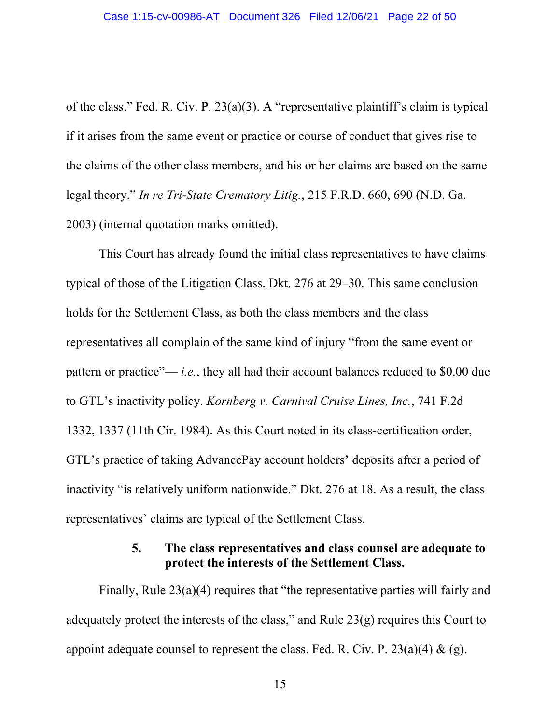of the class." Fed. R. Civ. P. 23(a)(3). A "representative plaintiff's claim is typical if it arises from the same event or practice or course of conduct that gives rise to the claims of the other class members, and his or her claims are based on the same legal theory." *In re Tri-State Crematory Litig.*, 215 F.R.D. 660, 690 (N.D. Ga. 2003) (internal quotation marks omitted).

This Court has already found the initial class representatives to have claims typical of those of the Litigation Class. Dkt. 276 at 29–30. This same conclusion holds for the Settlement Class, as both the class members and the class representatives all complain of the same kind of injury "from the same event or pattern or practice"— *i.e.*, they all had their account balances reduced to \$0.00 due to GTL's inactivity policy. *Kornberg v. Carnival Cruise Lines, Inc.*, 741 F.2d 1332, 1337 (11th Cir. 1984). As this Court noted in its class-certification order, GTL's practice of taking AdvancePay account holders' deposits after a period of inactivity "is relatively uniform nationwide." Dkt. 276 at 18. As a result, the class representatives' claims are typical of the Settlement Class.

### **5. The class representatives and class counsel are adequate to protect the interests of the Settlement Class.**

Finally, Rule 23(a)(4) requires that "the representative parties will fairly and adequately protect the interests of the class," and Rule 23(g) requires this Court to appoint adequate counsel to represent the class. Fed. R. Civ. P.  $23(a)(4) \& (g)$ .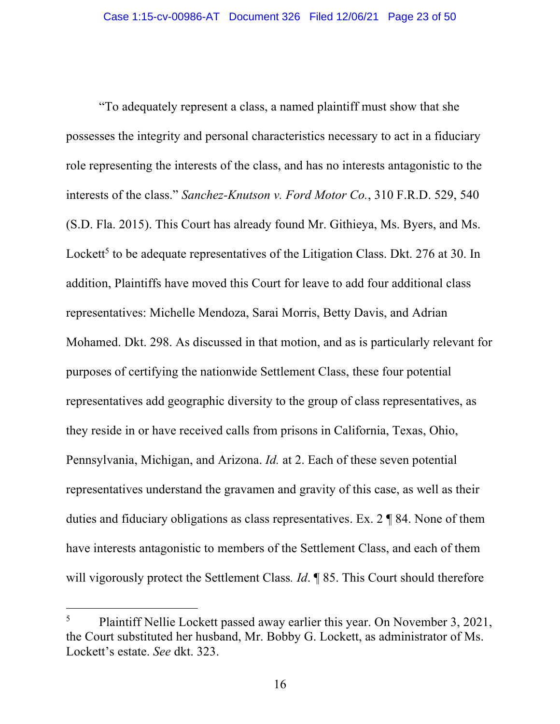"To adequately represent a class, a named plaintiff must show that she possesses the integrity and personal characteristics necessary to act in a fiduciary role representing the interests of the class, and has no interests antagonistic to the interests of the class." *Sanchez-Knutson v. Ford Motor Co.*, 310 F.R.D. 529, 540 (S.D. Fla. 2015). This Court has already found Mr. Githieya, Ms. Byers, and Ms. Lockett<sup>5</sup> to be adequate representatives of the Litigation Class. Dkt. 276 at 30. In addition, Plaintiffs have moved this Court for leave to add four additional class representatives: Michelle Mendoza, Sarai Morris, Betty Davis, and Adrian Mohamed. Dkt. 298. As discussed in that motion, and as is particularly relevant for purposes of certifying the nationwide Settlement Class, these four potential representatives add geographic diversity to the group of class representatives, as they reside in or have received calls from prisons in California, Texas, Ohio, Pennsylvania, Michigan, and Arizona. *Id.* at 2. Each of these seven potential representatives understand the gravamen and gravity of this case, as well as their duties and fiduciary obligations as class representatives. Ex. 2 ¶ 84. None of them have interests antagonistic to members of the Settlement Class, and each of them will vigorously protect the Settlement Class*. Id*. ¶ 85. This Court should therefore

<sup>&</sup>lt;sup>5</sup> Plaintiff Nellie Lockett passed away earlier this year. On November 3, 2021, the Court substituted her husband, Mr. Bobby G. Lockett, as administrator of Ms. Lockett's estate. *See* dkt. 323.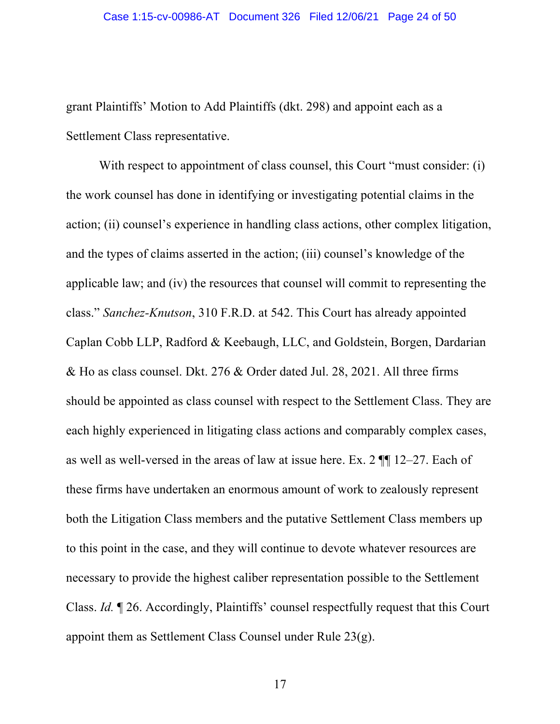grant Plaintiffs' Motion to Add Plaintiffs (dkt. 298) and appoint each as a Settlement Class representative.

With respect to appointment of class counsel, this Court "must consider: (i) the work counsel has done in identifying or investigating potential claims in the action; (ii) counsel's experience in handling class actions, other complex litigation, and the types of claims asserted in the action; (iii) counsel's knowledge of the applicable law; and (iv) the resources that counsel will commit to representing the class." *Sanchez-Knutson*, 310 F.R.D. at 542. This Court has already appointed Caplan Cobb LLP, Radford & Keebaugh, LLC, and Goldstein, Borgen, Dardarian & Ho as class counsel. Dkt. 276 & Order dated Jul. 28, 2021. All three firms should be appointed as class counsel with respect to the Settlement Class. They are each highly experienced in litigating class actions and comparably complex cases, as well as well-versed in the areas of law at issue here. Ex. 2 ¶¶ 12–27. Each of these firms have undertaken an enormous amount of work to zealously represent both the Litigation Class members and the putative Settlement Class members up to this point in the case, and they will continue to devote whatever resources are necessary to provide the highest caliber representation possible to the Settlement Class. *Id.* ¶ 26. Accordingly, Plaintiffs' counsel respectfully request that this Court appoint them as Settlement Class Counsel under Rule 23(g).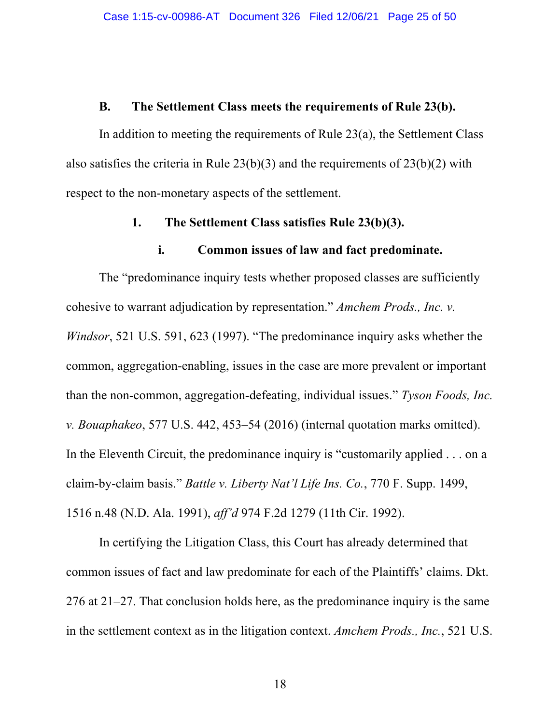#### **B. The Settlement Class meets the requirements of Rule 23(b).**

In addition to meeting the requirements of Rule 23(a), the Settlement Class also satisfies the criteria in Rule 23(b)(3) and the requirements of 23(b)(2) with respect to the non-monetary aspects of the settlement.

#### **1. The Settlement Class satisfies Rule 23(b)(3).**

#### **i. Common issues of law and fact predominate.**

The "predominance inquiry tests whether proposed classes are sufficiently cohesive to warrant adjudication by representation." *Amchem Prods., Inc. v. Windsor*, 521 U.S. 591, 623 (1997). "The predominance inquiry asks whether the common, aggregation-enabling, issues in the case are more prevalent or important than the non-common, aggregation-defeating, individual issues." *Tyson Foods, Inc. v. Bouaphakeo*, 577 U.S. 442, 453–54 (2016) (internal quotation marks omitted). In the Eleventh Circuit, the predominance inquiry is "customarily applied . . . on a claim-by-claim basis." *Battle v. Liberty Nat'l Life Ins. Co.*, 770 F. Supp. 1499, 1516 n.48 (N.D. Ala. 1991), *aff'd* 974 F.2d 1279 (11th Cir. 1992).

In certifying the Litigation Class, this Court has already determined that common issues of fact and law predominate for each of the Plaintiffs' claims. Dkt. 276 at 21–27. That conclusion holds here, as the predominance inquiry is the same in the settlement context as in the litigation context. *Amchem Prods., Inc.*, 521 U.S.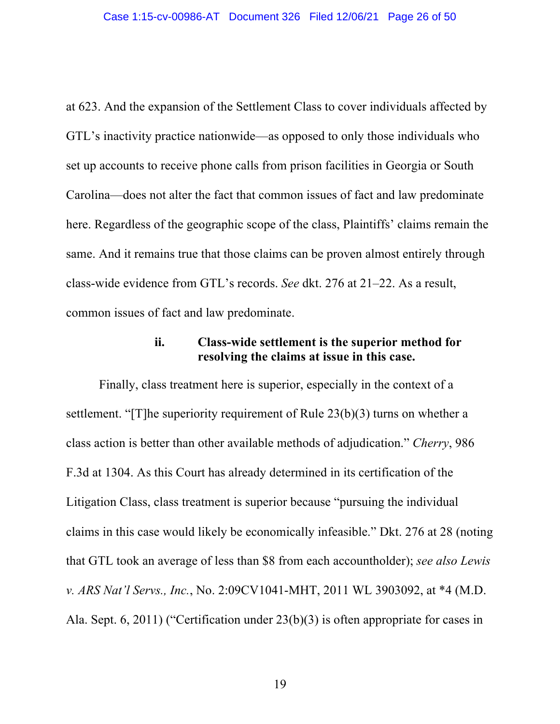at 623. And the expansion of the Settlement Class to cover individuals affected by GTL's inactivity practice nationwide—as opposed to only those individuals who set up accounts to receive phone calls from prison facilities in Georgia or South Carolina—does not alter the fact that common issues of fact and law predominate here. Regardless of the geographic scope of the class, Plaintiffs' claims remain the same. And it remains true that those claims can be proven almost entirely through class-wide evidence from GTL's records. *See* dkt. 276 at 21–22. As a result, common issues of fact and law predominate.

### **ii. Class-wide settlement is the superior method for resolving the claims at issue in this case.**

Finally, class treatment here is superior, especially in the context of a settlement. "[T]he superiority requirement of Rule 23(b)(3) turns on whether a class action is better than other available methods of adjudication." *Cherry*, 986 F.3d at 1304. As this Court has already determined in its certification of the Litigation Class, class treatment is superior because "pursuing the individual claims in this case would likely be economically infeasible." Dkt. 276 at 28 (noting that GTL took an average of less than \$8 from each accountholder); *see also Lewis v. ARS Nat'l Servs., Inc.*, No. 2:09CV1041-MHT, 2011 WL 3903092, at \*4 (M.D. Ala. Sept. 6, 2011) ("Certification under 23(b)(3) is often appropriate for cases in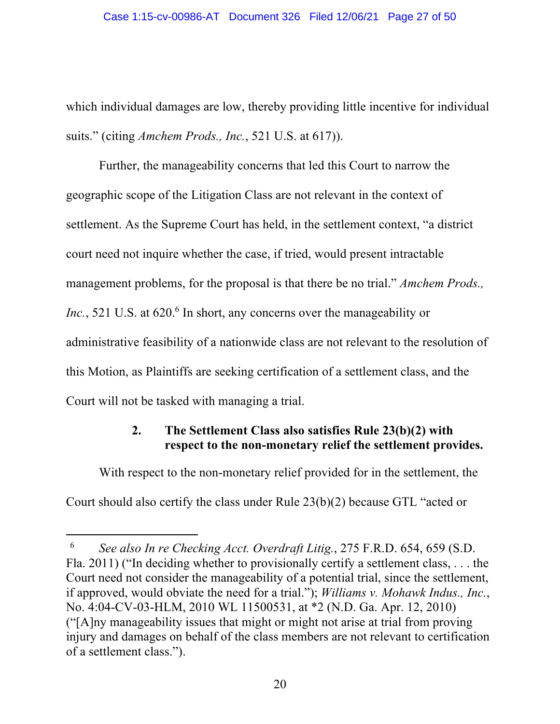which individual damages are low, thereby providing little incentive for individual suits." (citing *Amchem Prods., Inc.*, 521 U.S. at 617)).

Further, the manageability concerns that led this Court to narrow the geographic scope of the Litigation Class are not relevant in the context of settlement. As the Supreme Court has held, in the settlement context, "a district court need not inquire whether the case, if tried, would present intractable management problems, for the proposal is that there be no trial." *Amchem Prods.,* Inc., 521 U.S. at 620.<sup>6</sup> In short, any concerns over the manageability or administrative feasibility of a nationwide class are not relevant to the resolution of this Motion, as Plaintiffs are seeking certification of a settlement class, and the Court will not be tasked with managing a trial.

# **2. The Settlement Class also satisfies Rule 23(b)(2) with respect to the non-monetary relief the settlement provides.**

With respect to the non-monetary relief provided for in the settlement, the Court should also certify the class under Rule 23(b)(2) because GTL "acted or

<sup>6</sup> *See also In re Checking Acct. Overdraft Litig.*, 275 F.R.D. 654, 659 (S.D. Fla. 2011) ("In deciding whether to provisionally certify a settlement class, . . . the Court need not consider the manageability of a potential trial, since the settlement, if approved, would obviate the need for a trial."); *Williams v. Mohawk Indus., Inc.*, No. 4:04-CV-03-HLM, 2010 WL 11500531, at \*2 (N.D. Ga. Apr. 12, 2010) ("[A]ny manageability issues that might or might not arise at trial from proving injury and damages on behalf of the class members are not relevant to certification of a settlement class.").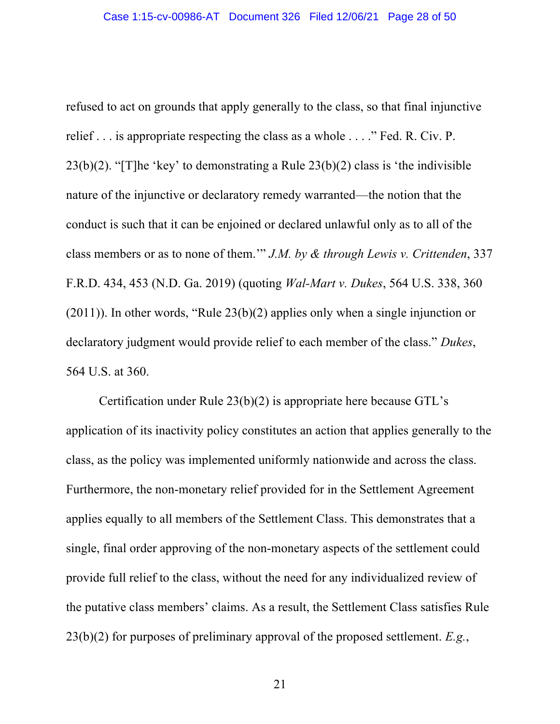refused to act on grounds that apply generally to the class, so that final injunctive relief . . . is appropriate respecting the class as a whole . . . ." Fed. R. Civ. P. 23(b)(2). "[T]he 'key' to demonstrating a Rule  $23(b)(2)$  class is 'the indivisible nature of the injunctive or declaratory remedy warranted—the notion that the conduct is such that it can be enjoined or declared unlawful only as to all of the class members or as to none of them.'" *J.M. by & through Lewis v. Crittenden*, 337 F.R.D. 434, 453 (N.D. Ga. 2019) (quoting *Wal-Mart v. Dukes*, 564 U.S. 338, 360 (2011)). In other words, "Rule 23(b)(2) applies only when a single injunction or declaratory judgment would provide relief to each member of the class." *Dukes*, 564 U.S. at 360.

Certification under Rule 23(b)(2) is appropriate here because GTL's application of its inactivity policy constitutes an action that applies generally to the class, as the policy was implemented uniformly nationwide and across the class. Furthermore, the non-monetary relief provided for in the Settlement Agreement applies equally to all members of the Settlement Class. This demonstrates that a single, final order approving of the non-monetary aspects of the settlement could provide full relief to the class, without the need for any individualized review of the putative class members' claims. As a result, the Settlement Class satisfies Rule 23(b)(2) for purposes of preliminary approval of the proposed settlement. *E.g.*,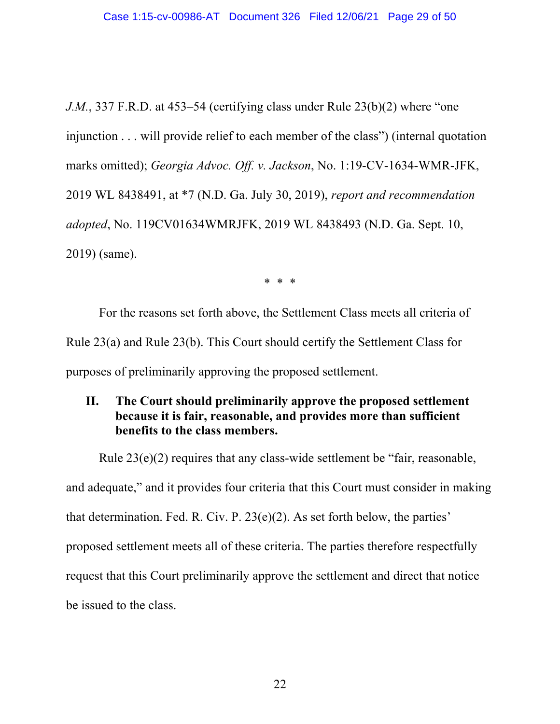*J.M.*, 337 F.R.D. at 453–54 (certifying class under Rule 23(b)(2) where "one injunction . . . will provide relief to each member of the class") (internal quotation marks omitted); *Georgia Advoc. Off. v. Jackson*, No. 1:19-CV-1634-WMR-JFK, 2019 WL 8438491, at \*7 (N.D. Ga. July 30, 2019), *report and recommendation adopted*, No. 119CV01634WMRJFK, 2019 WL 8438493 (N.D. Ga. Sept. 10, 2019) (same).

\* \* \*

For the reasons set forth above, the Settlement Class meets all criteria of Rule 23(a) and Rule 23(b). This Court should certify the Settlement Class for purposes of preliminarily approving the proposed settlement.

### **II. The Court should preliminarily approve the proposed settlement because it is fair, reasonable, and provides more than sufficient benefits to the class members.**

Rule 23(e)(2) requires that any class-wide settlement be "fair, reasonable, and adequate," and it provides four criteria that this Court must consider in making that determination. Fed. R. Civ. P. 23(e)(2). As set forth below, the parties' proposed settlement meets all of these criteria. The parties therefore respectfully request that this Court preliminarily approve the settlement and direct that notice be issued to the class.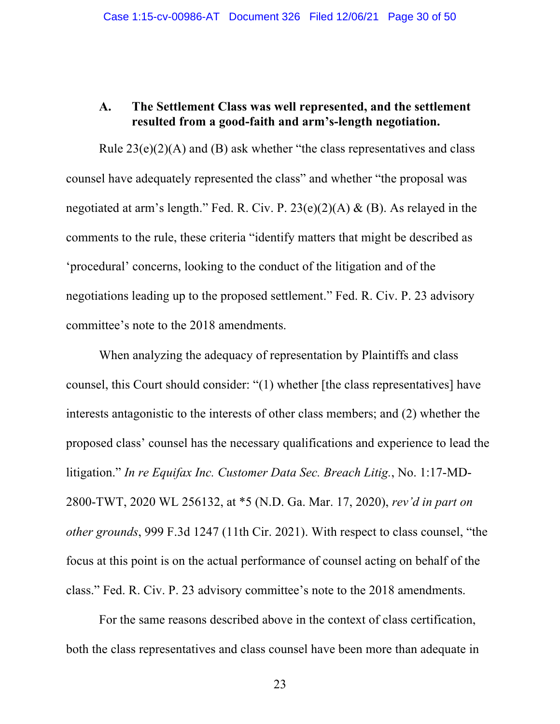### **A. The Settlement Class was well represented, and the settlement resulted from a good-faith and arm's-length negotiation.**

Rule  $23(e)(2)(A)$  and (B) ask whether "the class representatives and class counsel have adequately represented the class" and whether "the proposal was negotiated at arm's length." Fed. R. Civ. P. 23(e)(2)(A) & (B). As relayed in the comments to the rule, these criteria "identify matters that might be described as 'procedural' concerns, looking to the conduct of the litigation and of the negotiations leading up to the proposed settlement." Fed. R. Civ. P. 23 advisory committee's note to the 2018 amendments.

When analyzing the adequacy of representation by Plaintiffs and class counsel, this Court should consider: "(1) whether [the class representatives] have interests antagonistic to the interests of other class members; and (2) whether the proposed class' counsel has the necessary qualifications and experience to lead the litigation." *In re Equifax Inc. Customer Data Sec. Breach Litig.*, No. 1:17-MD-2800-TWT, 2020 WL 256132, at \*5 (N.D. Ga. Mar. 17, 2020), *rev'd in part on other grounds*, 999 F.3d 1247 (11th Cir. 2021). With respect to class counsel, "the focus at this point is on the actual performance of counsel acting on behalf of the class." Fed. R. Civ. P. 23 advisory committee's note to the 2018 amendments.

For the same reasons described above in the context of class certification, both the class representatives and class counsel have been more than adequate in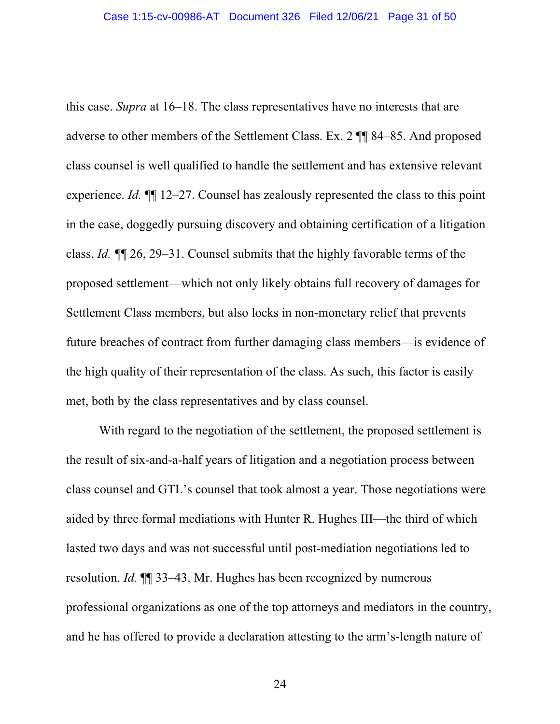this case. *Supra* at 16–18. The class representatives have no interests that are adverse to other members of the Settlement Class. Ex. 2 ¶¶ 84–85. And proposed class counsel is well qualified to handle the settlement and has extensive relevant experience. *Id.* ¶¶ 12–27. Counsel has zealously represented the class to this point in the case, doggedly pursuing discovery and obtaining certification of a litigation class. *Id. ¶*¶ 26, 29–31. Counsel submits that the highly favorable terms of the proposed settlement—which not only likely obtains full recovery of damages for Settlement Class members, but also locks in non-monetary relief that prevents future breaches of contract from further damaging class members—is evidence of the high quality of their representation of the class. As such, this factor is easily met, both by the class representatives and by class counsel.

With regard to the negotiation of the settlement, the proposed settlement is the result of six-and-a-half years of litigation and a negotiation process between class counsel and GTL's counsel that took almost a year. Those negotiations were aided by three formal mediations with Hunter R. Hughes III—the third of which lasted two days and was not successful until post-mediation negotiations led to resolution. *Id.* ¶¶ 33–43. Mr. Hughes has been recognized by numerous professional organizations as one of the top attorneys and mediators in the country, and he has offered to provide a declaration attesting to the arm's-length nature of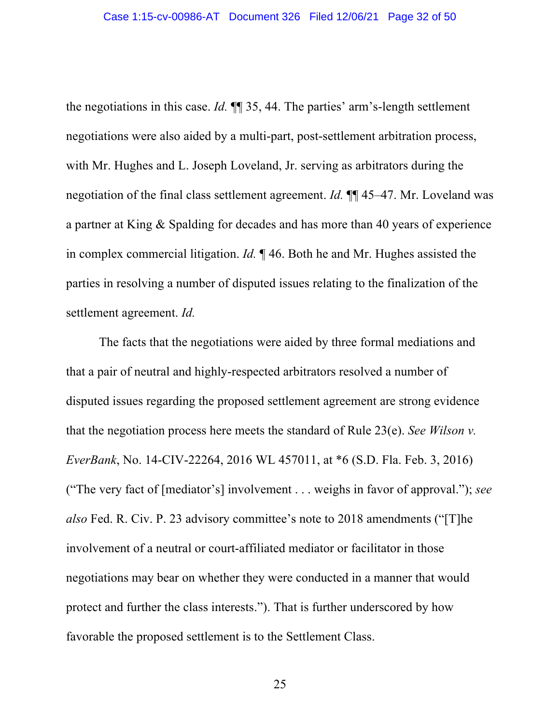the negotiations in this case. *Id.* ¶¶ 35, 44. The parties' arm's-length settlement negotiations were also aided by a multi-part, post-settlement arbitration process, with Mr. Hughes and L. Joseph Loveland, Jr. serving as arbitrators during the negotiation of the final class settlement agreement. *Id.* ¶¶ 45–47. Mr. Loveland was a partner at King & Spalding for decades and has more than 40 years of experience in complex commercial litigation. *Id.* ¶ 46. Both he and Mr. Hughes assisted the parties in resolving a number of disputed issues relating to the finalization of the settlement agreement. *Id.*

The facts that the negotiations were aided by three formal mediations and that a pair of neutral and highly-respected arbitrators resolved a number of disputed issues regarding the proposed settlement agreement are strong evidence that the negotiation process here meets the standard of Rule 23(e). *See Wilson v. EverBank*, No. 14-CIV-22264, 2016 WL 457011, at \*6 (S.D. Fla. Feb. 3, 2016) ("The very fact of [mediator's] involvement . . . weighs in favor of approval."); *see also* Fed. R. Civ. P. 23 advisory committee's note to 2018 amendments ("[T]he involvement of a neutral or court-affiliated mediator or facilitator in those negotiations may bear on whether they were conducted in a manner that would protect and further the class interests."). That is further underscored by how favorable the proposed settlement is to the Settlement Class.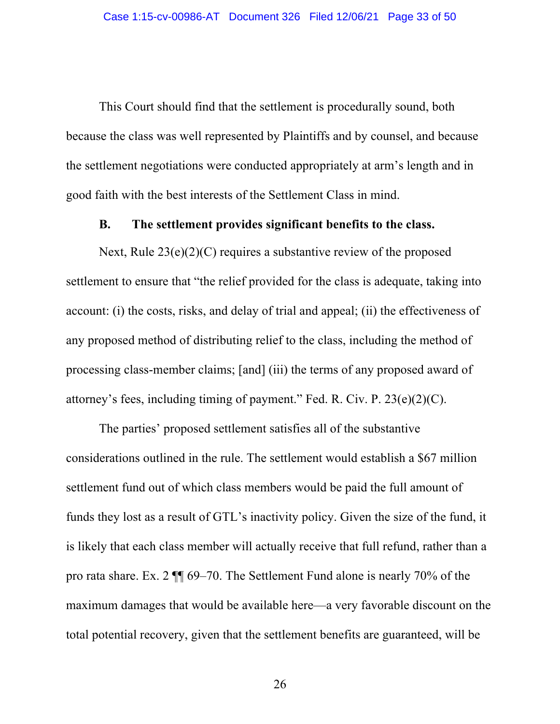This Court should find that the settlement is procedurally sound, both because the class was well represented by Plaintiffs and by counsel, and because the settlement negotiations were conducted appropriately at arm's length and in good faith with the best interests of the Settlement Class in mind.

#### **B. The settlement provides significant benefits to the class.**

Next, Rule  $23(e)(2)(C)$  requires a substantive review of the proposed settlement to ensure that "the relief provided for the class is adequate, taking into account: (i) the costs, risks, and delay of trial and appeal; (ii) the effectiveness of any proposed method of distributing relief to the class, including the method of processing class-member claims; [and] (iii) the terms of any proposed award of attorney's fees, including timing of payment." Fed. R. Civ. P. 23(e)(2)(C).

The parties' proposed settlement satisfies all of the substantive considerations outlined in the rule. The settlement would establish a \$67 million settlement fund out of which class members would be paid the full amount of funds they lost as a result of GTL's inactivity policy. Given the size of the fund, it is likely that each class member will actually receive that full refund, rather than a pro rata share. Ex. 2 ¶¶ 69–70. The Settlement Fund alone is nearly 70% of the maximum damages that would be available here—a very favorable discount on the total potential recovery, given that the settlement benefits are guaranteed, will be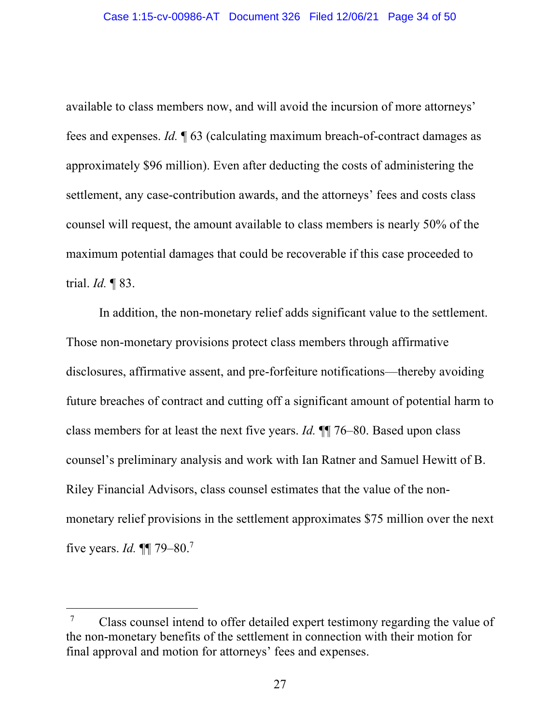available to class members now, and will avoid the incursion of more attorneys' fees and expenses. *Id.* ¶ 63 (calculating maximum breach-of-contract damages as approximately \$96 million). Even after deducting the costs of administering the settlement, any case-contribution awards, and the attorneys' fees and costs class counsel will request, the amount available to class members is nearly 50% of the maximum potential damages that could be recoverable if this case proceeded to trial. *Id.* ¶ 83.

In addition, the non-monetary relief adds significant value to the settlement. Those non-monetary provisions protect class members through affirmative disclosures, affirmative assent, and pre-forfeiture notifications—thereby avoiding future breaches of contract and cutting off a significant amount of potential harm to class members for at least the next five years. *Id.* ¶¶ 76–80. Based upon class counsel's preliminary analysis and work with Ian Ratner and Samuel Hewitt of B. Riley Financial Advisors, class counsel estimates that the value of the nonmonetary relief provisions in the settlement approximates \$75 million over the next five years. *Id.* ¶¶ 79–80. 7

 $7^{\circ}$  Class counsel intend to offer detailed expert testimony regarding the value of the non-monetary benefits of the settlement in connection with their motion for final approval and motion for attorneys' fees and expenses.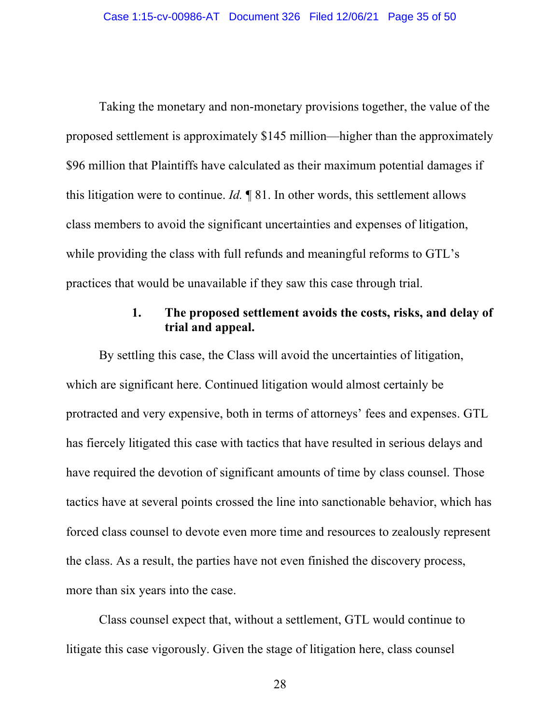Taking the monetary and non-monetary provisions together, the value of the proposed settlement is approximately \$145 million—higher than the approximately \$96 million that Plaintiffs have calculated as their maximum potential damages if this litigation were to continue. *Id.* ¶ 81. In other words, this settlement allows class members to avoid the significant uncertainties and expenses of litigation, while providing the class with full refunds and meaningful reforms to GTL's practices that would be unavailable if they saw this case through trial.

### **1. The proposed settlement avoids the costs, risks, and delay of trial and appeal.**

By settling this case, the Class will avoid the uncertainties of litigation, which are significant here. Continued litigation would almost certainly be protracted and very expensive, both in terms of attorneys' fees and expenses. GTL has fiercely litigated this case with tactics that have resulted in serious delays and have required the devotion of significant amounts of time by class counsel. Those tactics have at several points crossed the line into sanctionable behavior, which has forced class counsel to devote even more time and resources to zealously represent the class. As a result, the parties have not even finished the discovery process, more than six years into the case.

Class counsel expect that, without a settlement, GTL would continue to litigate this case vigorously. Given the stage of litigation here, class counsel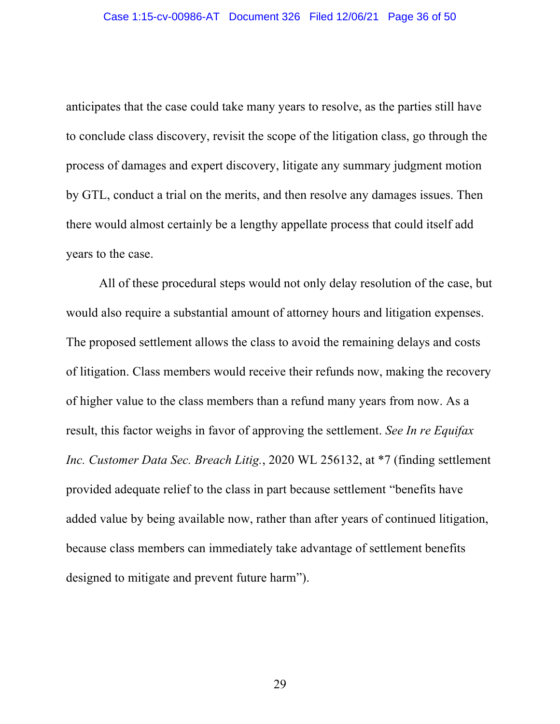anticipates that the case could take many years to resolve, as the parties still have to conclude class discovery, revisit the scope of the litigation class, go through the process of damages and expert discovery, litigate any summary judgment motion by GTL, conduct a trial on the merits, and then resolve any damages issues. Then there would almost certainly be a lengthy appellate process that could itself add years to the case.

All of these procedural steps would not only delay resolution of the case, but would also require a substantial amount of attorney hours and litigation expenses. The proposed settlement allows the class to avoid the remaining delays and costs of litigation. Class members would receive their refunds now, making the recovery of higher value to the class members than a refund many years from now. As a result, this factor weighs in favor of approving the settlement. *See In re Equifax Inc. Customer Data Sec. Breach Litig.*, 2020 WL 256132, at \*7 (finding settlement provided adequate relief to the class in part because settlement "benefits have added value by being available now, rather than after years of continued litigation, because class members can immediately take advantage of settlement benefits designed to mitigate and prevent future harm").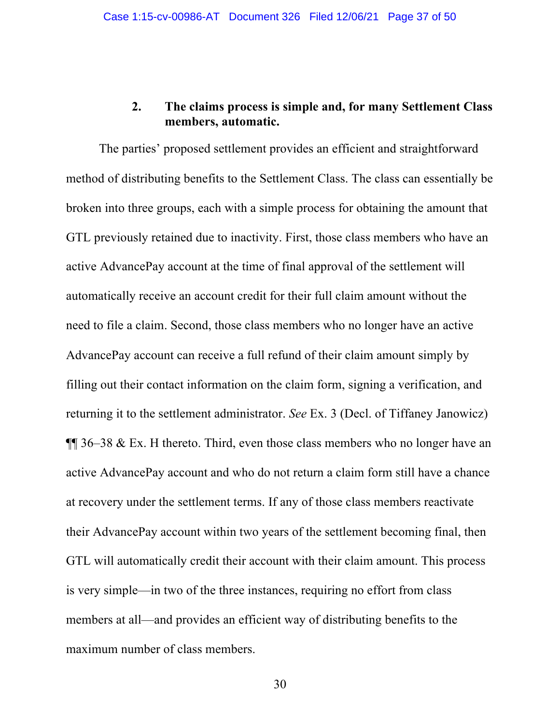### **2. The claims process is simple and, for many Settlement Class members, automatic.**

The parties' proposed settlement provides an efficient and straightforward method of distributing benefits to the Settlement Class. The class can essentially be broken into three groups, each with a simple process for obtaining the amount that GTL previously retained due to inactivity. First, those class members who have an active AdvancePay account at the time of final approval of the settlement will automatically receive an account credit for their full claim amount without the need to file a claim. Second, those class members who no longer have an active AdvancePay account can receive a full refund of their claim amount simply by filling out their contact information on the claim form, signing a verification, and returning it to the settlement administrator. *See* Ex. 3 (Decl. of Tiffaney Janowicz) ¶¶ 36–38 & Ex. H thereto. Third, even those class members who no longer have an active AdvancePay account and who do not return a claim form still have a chance at recovery under the settlement terms. If any of those class members reactivate their AdvancePay account within two years of the settlement becoming final, then GTL will automatically credit their account with their claim amount. This process is very simple—in two of the three instances, requiring no effort from class members at all—and provides an efficient way of distributing benefits to the maximum number of class members.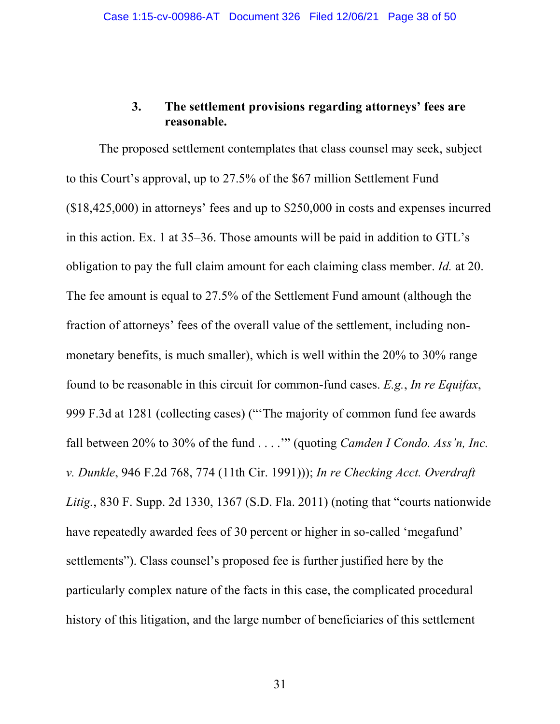## **3. The settlement provisions regarding attorneys' fees are reasonable.**

The proposed settlement contemplates that class counsel may seek, subject to this Court's approval, up to 27.5% of the \$67 million Settlement Fund (\$18,425,000) in attorneys' fees and up to \$250,000 in costs and expenses incurred in this action. Ex. 1 at 35–36. Those amounts will be paid in addition to GTL's obligation to pay the full claim amount for each claiming class member. *Id.* at 20. The fee amount is equal to 27.5% of the Settlement Fund amount (although the fraction of attorneys' fees of the overall value of the settlement, including nonmonetary benefits, is much smaller), which is well within the 20% to 30% range found to be reasonable in this circuit for common-fund cases. *E.g.*, *In re Equifax*, 999 F.3d at 1281 (collecting cases) ("'The majority of common fund fee awards fall between 20% to 30% of the fund . . . .'" (quoting *Camden I Condo. Ass'n, Inc. v. Dunkle*, 946 F.2d 768, 774 (11th Cir. 1991))); *In re Checking Acct. Overdraft Litig.*, 830 F. Supp. 2d 1330, 1367 (S.D. Fla. 2011) (noting that "courts nationwide have repeatedly awarded fees of 30 percent or higher in so-called 'megafund' settlements"). Class counsel's proposed fee is further justified here by the particularly complex nature of the facts in this case, the complicated procedural history of this litigation, and the large number of beneficiaries of this settlement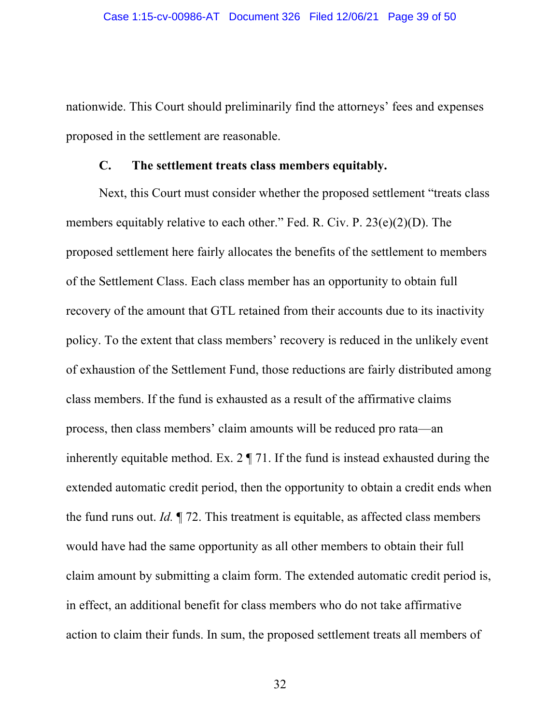nationwide. This Court should preliminarily find the attorneys' fees and expenses proposed in the settlement are reasonable.

#### **C. The settlement treats class members equitably.**

Next, this Court must consider whether the proposed settlement "treats class members equitably relative to each other." Fed. R. Civ. P. 23(e)(2)(D). The proposed settlement here fairly allocates the benefits of the settlement to members of the Settlement Class. Each class member has an opportunity to obtain full recovery of the amount that GTL retained from their accounts due to its inactivity policy. To the extent that class members' recovery is reduced in the unlikely event of exhaustion of the Settlement Fund, those reductions are fairly distributed among class members. If the fund is exhausted as a result of the affirmative claims process, then class members' claim amounts will be reduced pro rata—an inherently equitable method. Ex. 2 ¶ 71. If the fund is instead exhausted during the extended automatic credit period, then the opportunity to obtain a credit ends when the fund runs out. *Id.* ¶ 72. This treatment is equitable, as affected class members would have had the same opportunity as all other members to obtain their full claim amount by submitting a claim form. The extended automatic credit period is, in effect, an additional benefit for class members who do not take affirmative action to claim their funds. In sum, the proposed settlement treats all members of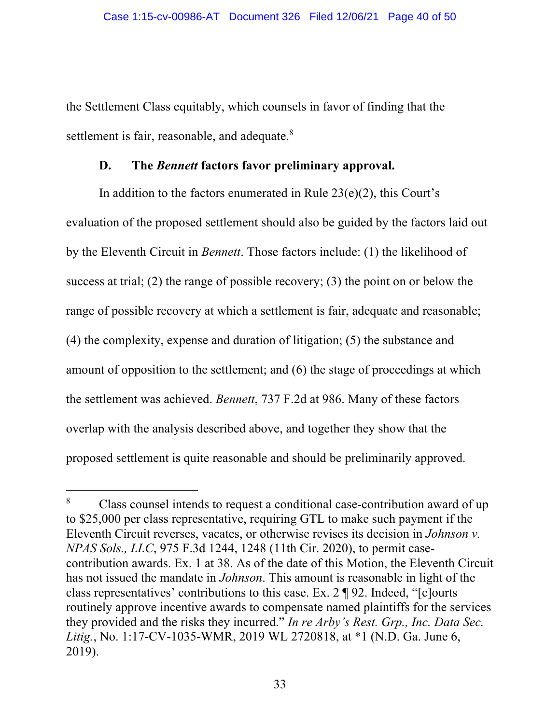the Settlement Class equitably, which counsels in favor of finding that the settlement is fair, reasonable, and adequate. $8$ 

### **D. The** *Bennett* **factors favor preliminary approval.**

In addition to the factors enumerated in Rule  $23(e)(2)$ , this Court's evaluation of the proposed settlement should also be guided by the factors laid out by the Eleventh Circuit in *Bennett*. Those factors include: (1) the likelihood of success at trial; (2) the range of possible recovery; (3) the point on or below the range of possible recovery at which a settlement is fair, adequate and reasonable; (4) the complexity, expense and duration of litigation; (5) the substance and amount of opposition to the settlement; and (6) the stage of proceedings at which the settlement was achieved. *Bennett*, 737 F.2d at 986. Many of these factors overlap with the analysis described above, and together they show that the proposed settlement is quite reasonable and should be preliminarily approved.

<sup>8</sup> Class counsel intends to request a conditional case-contribution award of up to \$25,000 per class representative, requiring GTL to make such payment if the Eleventh Circuit reverses, vacates, or otherwise revises its decision in *Johnson v. NPAS Sols., LLC*, 975 F.3d 1244, 1248 (11th Cir. 2020), to permit casecontribution awards. Ex. 1 at 38. As of the date of this Motion, the Eleventh Circuit has not issued the mandate in *Johnson*. This amount is reasonable in light of the class representatives' contributions to this case. Ex. 2 ¶ 92. Indeed, "[c]ourts routinely approve incentive awards to compensate named plaintiffs for the services they provided and the risks they incurred." *In re Arby's Rest. Grp., Inc. Data Sec. Litig.*, No. 1:17-CV-1035-WMR, 2019 WL 2720818, at \*1 (N.D. Ga. June 6, 2019).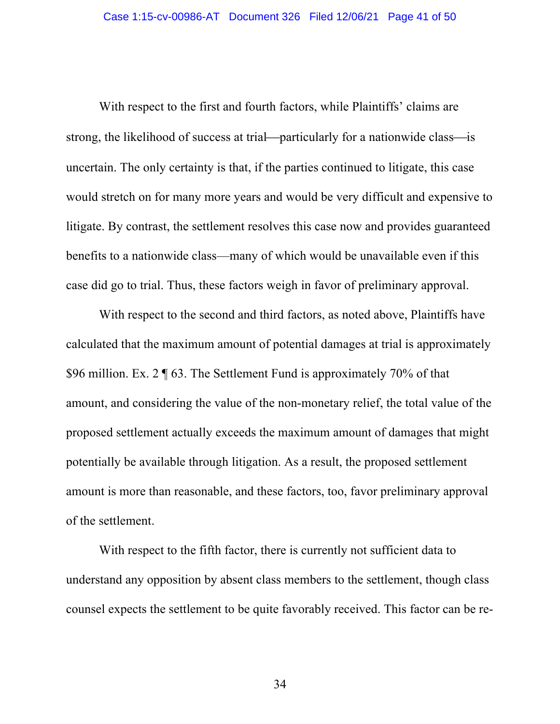With respect to the first and fourth factors, while Plaintiffs' claims are strong, the likelihood of success at trial—particularly for a nationwide class—is uncertain. The only certainty is that, if the parties continued to litigate, this case would stretch on for many more years and would be very difficult and expensive to litigate. By contrast, the settlement resolves this case now and provides guaranteed benefits to a nationwide class—many of which would be unavailable even if this case did go to trial. Thus, these factors weigh in favor of preliminary approval.

With respect to the second and third factors, as noted above, Plaintiffs have calculated that the maximum amount of potential damages at trial is approximately \$96 million. Ex. 2 ¶ 63. The Settlement Fund is approximately 70% of that amount, and considering the value of the non-monetary relief, the total value of the proposed settlement actually exceeds the maximum amount of damages that might potentially be available through litigation. As a result, the proposed settlement amount is more than reasonable, and these factors, too, favor preliminary approval of the settlement.

With respect to the fifth factor, there is currently not sufficient data to understand any opposition by absent class members to the settlement, though class counsel expects the settlement to be quite favorably received. This factor can be re-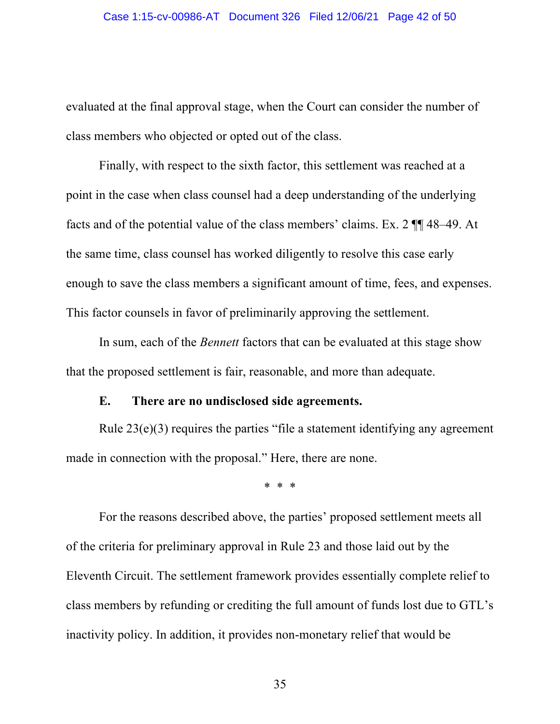evaluated at the final approval stage, when the Court can consider the number of class members who objected or opted out of the class.

Finally, with respect to the sixth factor, this settlement was reached at a point in the case when class counsel had a deep understanding of the underlying facts and of the potential value of the class members' claims. Ex. 2 ¶¶ 48–49. At the same time, class counsel has worked diligently to resolve this case early enough to save the class members a significant amount of time, fees, and expenses. This factor counsels in favor of preliminarily approving the settlement.

In sum, each of the *Bennett* factors that can be evaluated at this stage show that the proposed settlement is fair, reasonable, and more than adequate.

#### **E. There are no undisclosed side agreements.**

Rule 23(e)(3) requires the parties "file a statement identifying any agreement made in connection with the proposal." Here, there are none.

\* \* \*

For the reasons described above, the parties' proposed settlement meets all of the criteria for preliminary approval in Rule 23 and those laid out by the Eleventh Circuit. The settlement framework provides essentially complete relief to class members by refunding or crediting the full amount of funds lost due to GTL's inactivity policy. In addition, it provides non-monetary relief that would be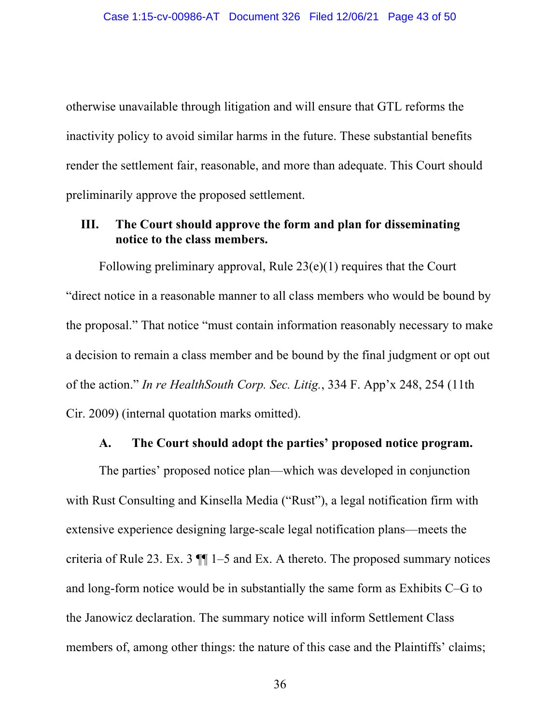otherwise unavailable through litigation and will ensure that GTL reforms the inactivity policy to avoid similar harms in the future. These substantial benefits render the settlement fair, reasonable, and more than adequate. This Court should preliminarily approve the proposed settlement.

# **III. The Court should approve the form and plan for disseminating notice to the class members.**

Following preliminary approval, Rule 23(e)(1) requires that the Court "direct notice in a reasonable manner to all class members who would be bound by the proposal." That notice "must contain information reasonably necessary to make a decision to remain a class member and be bound by the final judgment or opt out of the action." *In re HealthSouth Corp. Sec. Litig.*, 334 F. App'x 248, 254 (11th Cir. 2009) (internal quotation marks omitted).

#### **A. The Court should adopt the parties' proposed notice program.**

The parties' proposed notice plan—which was developed in conjunction with Rust Consulting and Kinsella Media ("Rust"), a legal notification firm with extensive experience designing large-scale legal notification plans—meets the criteria of Rule 23. Ex. 3  $\P$  1–5 and Ex. A thereto. The proposed summary notices and long-form notice would be in substantially the same form as Exhibits C–G to the Janowicz declaration. The summary notice will inform Settlement Class members of, among other things: the nature of this case and the Plaintiffs' claims;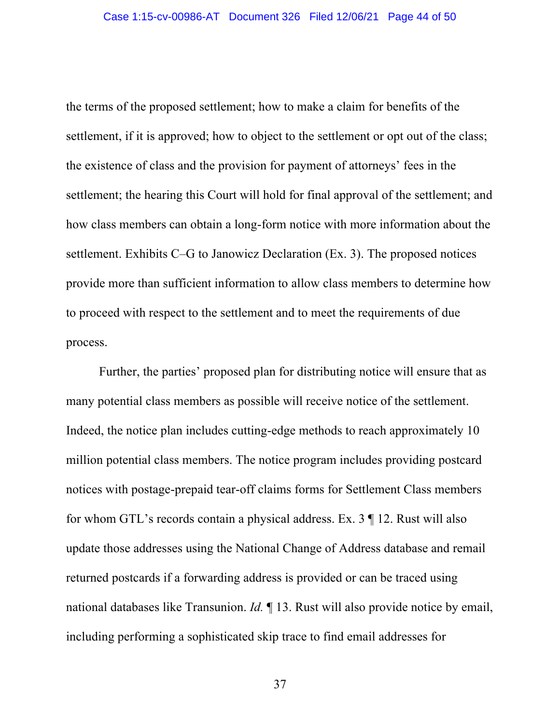the terms of the proposed settlement; how to make a claim for benefits of the settlement, if it is approved; how to object to the settlement or opt out of the class; the existence of class and the provision for payment of attorneys' fees in the settlement; the hearing this Court will hold for final approval of the settlement; and how class members can obtain a long-form notice with more information about the settlement. Exhibits C–G to Janowicz Declaration (Ex. 3). The proposed notices provide more than sufficient information to allow class members to determine how to proceed with respect to the settlement and to meet the requirements of due process.

Further, the parties' proposed plan for distributing notice will ensure that as many potential class members as possible will receive notice of the settlement. Indeed, the notice plan includes cutting-edge methods to reach approximately 10 million potential class members. The notice program includes providing postcard notices with postage-prepaid tear-off claims forms for Settlement Class members for whom GTL's records contain a physical address. Ex. 3 ¶ 12. Rust will also update those addresses using the National Change of Address database and remail returned postcards if a forwarding address is provided or can be traced using national databases like Transunion. *Id.* ¶ 13. Rust will also provide notice by email, including performing a sophisticated skip trace to find email addresses for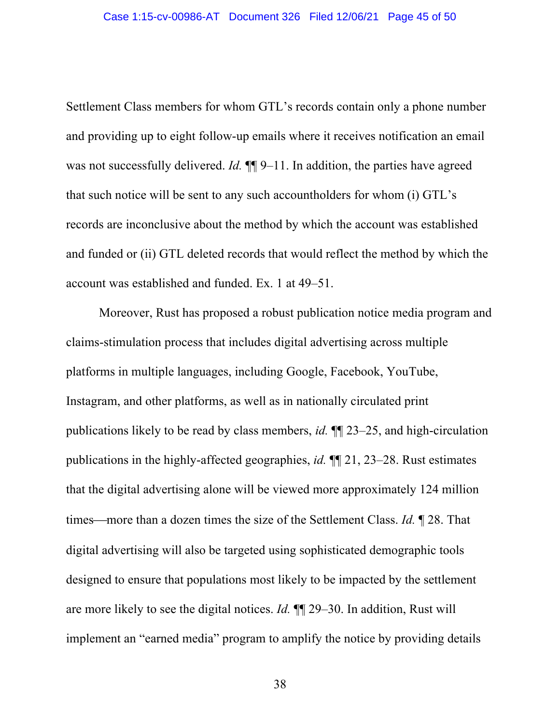Settlement Class members for whom GTL's records contain only a phone number and providing up to eight follow-up emails where it receives notification an email was not successfully delivered. *Id.*  $\P$ [9–11. In addition, the parties have agreed that such notice will be sent to any such accountholders for whom (i) GTL's records are inconclusive about the method by which the account was established and funded or (ii) GTL deleted records that would reflect the method by which the account was established and funded. Ex. 1 at 49–51.

Moreover, Rust has proposed a robust publication notice media program and claims-stimulation process that includes digital advertising across multiple platforms in multiple languages, including Google, Facebook, YouTube, Instagram, and other platforms, as well as in nationally circulated print publications likely to be read by class members, *id.* ¶¶ 23–25, and high-circulation publications in the highly-affected geographies, *id.* ¶¶ 21, 23–28. Rust estimates that the digital advertising alone will be viewed more approximately 124 million times—more than a dozen times the size of the Settlement Class. *Id.* 128. That digital advertising will also be targeted using sophisticated demographic tools designed to ensure that populations most likely to be impacted by the settlement are more likely to see the digital notices. *Id.* ¶¶ 29–30. In addition, Rust will implement an "earned media" program to amplify the notice by providing details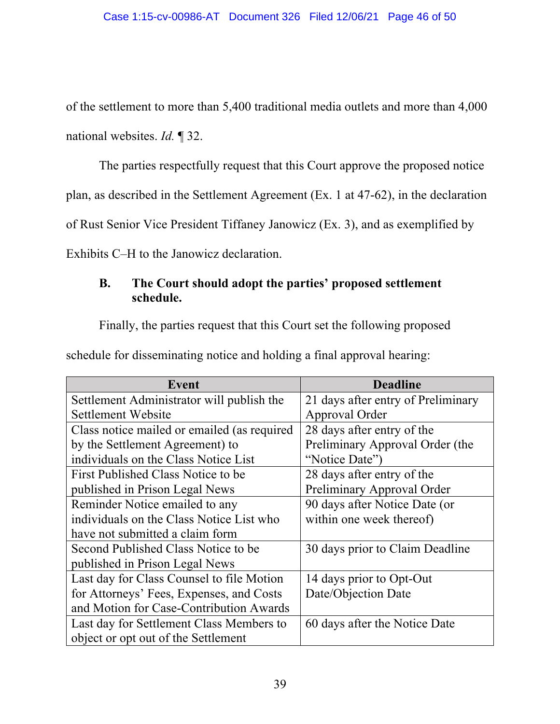of the settlement to more than 5,400 traditional media outlets and more than 4,000 national websites. *Id.* ¶ 32.

The parties respectfully request that this Court approve the proposed notice

plan, as described in the Settlement Agreement (Ex. 1 at 47-62), in the declaration

of Rust Senior Vice President Tiffaney Janowicz (Ex. 3), and as exemplified by

Exhibits C–H to the Janowicz declaration.

# **B. The Court should adopt the parties' proposed settlement schedule.**

Finally, the parties request that this Court set the following proposed

schedule for disseminating notice and holding a final approval hearing:

| Event                                       | <b>Deadline</b>                    |
|---------------------------------------------|------------------------------------|
| Settlement Administrator will publish the   | 21 days after entry of Preliminary |
| Settlement Website                          | Approval Order                     |
| Class notice mailed or emailed (as required | 28 days after entry of the         |
| by the Settlement Agreement) to             | Preliminary Approval Order (the    |
| individuals on the Class Notice List        | "Notice Date")                     |
| First Published Class Notice to be          | 28 days after entry of the         |
| published in Prison Legal News              | Preliminary Approval Order         |
| Reminder Notice emailed to any              | 90 days after Notice Date (or      |
| individuals on the Class Notice List who    | within one week thereof)           |
| have not submitted a claim form             |                                    |
| Second Published Class Notice to be         | 30 days prior to Claim Deadline    |
| published in Prison Legal News              |                                    |
| Last day for Class Counsel to file Motion   | 14 days prior to Opt-Out           |
| for Attorneys' Fees, Expenses, and Costs    | Date/Objection Date                |
| and Motion for Case-Contribution Awards     |                                    |
| Last day for Settlement Class Members to    | 60 days after the Notice Date      |
| object or opt out of the Settlement         |                                    |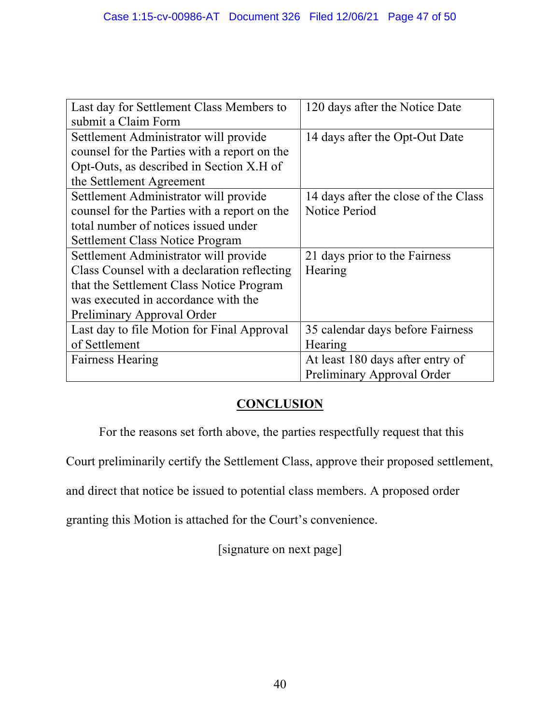| Last day for Settlement Class Members to     | 120 days after the Notice Date       |
|----------------------------------------------|--------------------------------------|
| submit a Claim Form                          |                                      |
| Settlement Administrator will provide        | 14 days after the Opt-Out Date       |
| counsel for the Parties with a report on the |                                      |
| Opt-Outs, as described in Section X.H of     |                                      |
| the Settlement Agreement                     |                                      |
| Settlement Administrator will provide        | 14 days after the close of the Class |
| counsel for the Parties with a report on the | <b>Notice Period</b>                 |
| total number of notices issued under         |                                      |
| <b>Settlement Class Notice Program</b>       |                                      |
| Settlement Administrator will provide        | 21 days prior to the Fairness        |
| Class Counsel with a declaration reflecting  | Hearing                              |
| that the Settlement Class Notice Program     |                                      |
| was executed in accordance with the          |                                      |
| Preliminary Approval Order                   |                                      |
| Last day to file Motion for Final Approval   | 35 calendar days before Fairness     |
| of Settlement                                | Hearing                              |
| <b>Fairness Hearing</b>                      | At least 180 days after entry of     |
|                                              | Preliminary Approval Order           |

# **CONCLUSION**

For the reasons set forth above, the parties respectfully request that this

Court preliminarily certify the Settlement Class, approve their proposed settlement,

and direct that notice be issued to potential class members. A proposed order

granting this Motion is attached for the Court's convenience.

[signature on next page]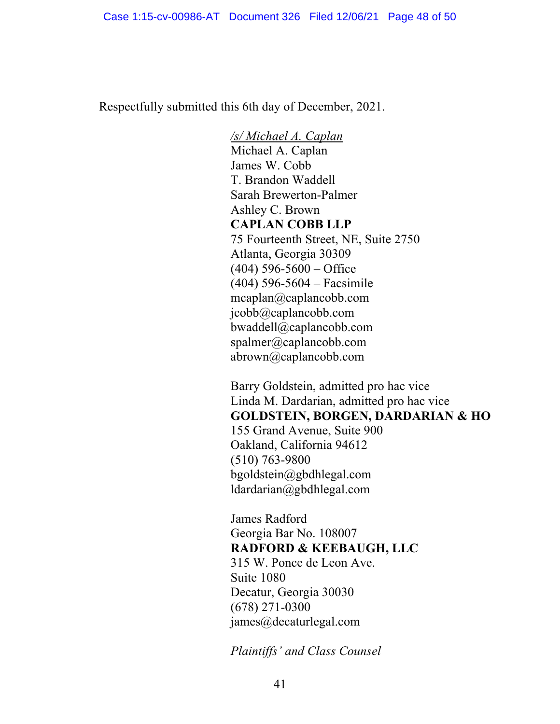Respectfully submitted this 6th day of December, 2021.

*/s/ Michael A. Caplan* Michael A. Caplan James W. Cobb T. Brandon Waddell Sarah Brewerton-Palmer Ashley C. Brown **CAPLAN COBB LLP** 75 Fourteenth Street, NE, Suite 2750 Atlanta, Georgia 30309  $(404)$  596-5600 – Office (404) 596-5604 – Facsimile mcaplan@caplancobb.com jcobb@caplancobb.com bwaddell@caplancobb.com spalmer@caplancobb.com abrown@caplancobb.com

Barry Goldstein, admitted pro hac vice Linda M. Dardarian, admitted pro hac vice **GOLDSTEIN, BORGEN, DARDARIAN & HO** 155 Grand Avenue, Suite 900 Oakland, California 94612 (510) 763-9800 bgoldstein@gbdhlegal.com ldardarian@gbdhlegal.com

James Radford Georgia Bar No. 108007 **RADFORD & KEEBAUGH, LLC** 315 W. Ponce de Leon Ave. Suite 1080 Decatur, Georgia 30030 (678) 271-0300 james@decaturlegal.com

*Plaintiffs' and Class Counsel*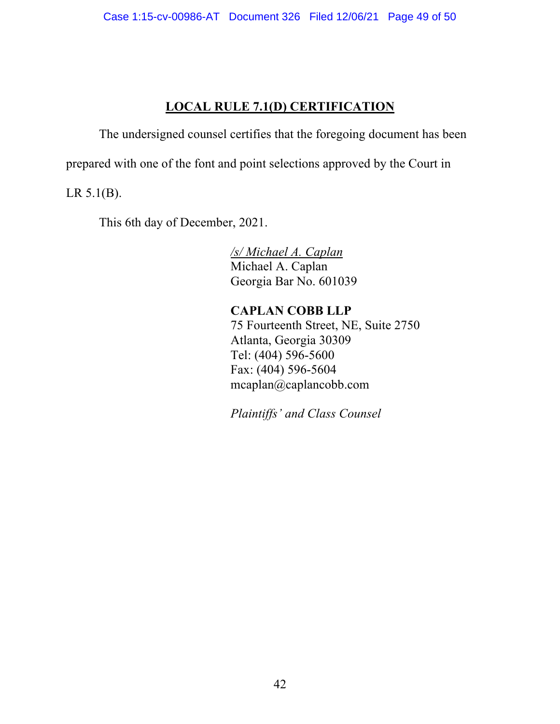# **LOCAL RULE 7.1(D) CERTIFICATION**

The undersigned counsel certifies that the foregoing document has been

prepared with one of the font and point selections approved by the Court in

LR 5.1(B).

This 6th day of December, 2021.

*/s/ Michael A. Caplan* Michael A. Caplan Georgia Bar No. 601039

**CAPLAN COBB LLP** 75 Fourteenth Street, NE, Suite 2750 Atlanta, Georgia 30309 Tel: (404) 596-5600 Fax: (404) 596-5604 mcaplan@caplancobb.com

*Plaintiffs' and Class Counsel*